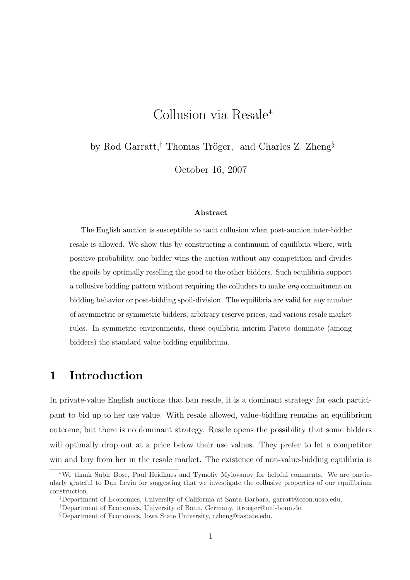# Collusion via Resale<sup>∗</sup>

by Rod Garratt,<sup>†</sup> Thomas Tröger,<sup>‡</sup> and Charles Z. Zheng<sup>§</sup>

October 16, 2007

#### Abstract

The English auction is susceptible to tacit collusion when post-auction inter-bidder resale is allowed. We show this by constructing a continuum of equilibria where, with positive probability, one bidder wins the auction without any competition and divides the spoils by optimally reselling the good to the other bidders. Such equilibria support a collusive bidding pattern without requiring the colluders to make any commitment on bidding behavior or post-bidding spoil-division. The equilibria are valid for any number of asymmetric or symmetric bidders, arbitrary reserve prices, and various resale market rules. In symmetric environments, these equilibria interim Pareto dominate (among bidders) the standard value-bidding equilibrium.

## 1 Introduction

In private-value English auctions that ban resale, it is a dominant strategy for each participant to bid up to her use value. With resale allowed, value-bidding remains an equilibrium outcome, but there is no dominant strategy. Resale opens the possibility that some bidders will optimally drop out at a price below their use values. They prefer to let a competitor win and buy from her in the resale market. The existence of non-value-bidding equilibria is

<sup>∗</sup>We thank Subir Bose, Paul Heidhues and Tymofiy Mylovanov for helpful comments. We are particularly grateful to Dan Levin for suggesting that we investigate the collusive properties of our equilibrium construction.

<sup>†</sup>Department of Economics, University of California at Santa Barbara, garratt@econ.ucsb.edu.

<sup>‡</sup>Department of Economics, University of Bonn, Germany, ttroeger@uni-bonn.de.

<sup>§</sup>Department of Economics, Iowa State University, czheng@iastate.edu.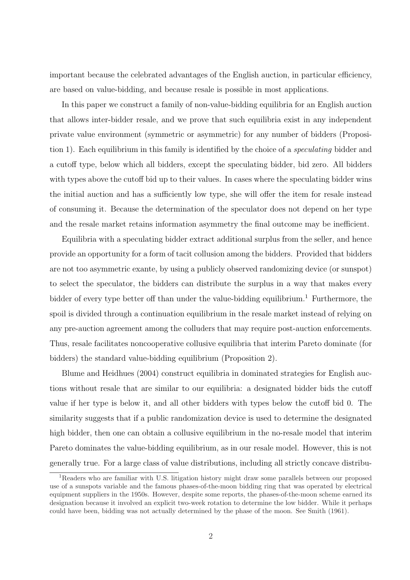important because the celebrated advantages of the English auction, in particular efficiency, are based on value-bidding, and because resale is possible in most applications.

In this paper we construct a family of non-value-bidding equilibria for an English auction that allows inter-bidder resale, and we prove that such equilibria exist in any independent private value environment (symmetric or asymmetric) for any number of bidders (Proposition 1). Each equilibrium in this family is identified by the choice of a speculating bidder and a cutoff type, below which all bidders, except the speculating bidder, bid zero. All bidders with types above the cutoff bid up to their values. In cases where the speculating bidder wins the initial auction and has a sufficiently low type, she will offer the item for resale instead of consuming it. Because the determination of the speculator does not depend on her type and the resale market retains information asymmetry the final outcome may be inefficient.

Equilibria with a speculating bidder extract additional surplus from the seller, and hence provide an opportunity for a form of tacit collusion among the bidders. Provided that bidders are not too asymmetric exante, by using a publicly observed randomizing device (or sunspot) to select the speculator, the bidders can distribute the surplus in a way that makes every bidder of every type better off than under the value-bidding equilibrium.<sup>1</sup> Furthermore, the spoil is divided through a continuation equilibrium in the resale market instead of relying on any pre-auction agreement among the colluders that may require post-auction enforcements. Thus, resale facilitates noncooperative collusive equilibria that interim Pareto dominate (for bidders) the standard value-bidding equilibrium (Proposition 2).

Blume and Heidhues (2004) construct equilibria in dominated strategies for English auctions without resale that are similar to our equilibria: a designated bidder bids the cutoff value if her type is below it, and all other bidders with types below the cutoff bid 0. The similarity suggests that if a public randomization device is used to determine the designated high bidder, then one can obtain a collusive equilibrium in the no-resale model that interim Pareto dominates the value-bidding equilibrium, as in our resale model. However, this is not generally true. For a large class of value distributions, including all strictly concave distribu-

<sup>&</sup>lt;sup>1</sup>Readers who are familiar with U.S. litigation history might draw some parallels between our proposed use of a sunspots variable and the famous phases-of-the-moon bidding ring that was operated by electrical equipment suppliers in the 1950s. However, despite some reports, the phases-of-the-moon scheme earned its designation because it involved an explicit two-week rotation to determine the low bidder. While it perhaps could have been, bidding was not actually determined by the phase of the moon. See Smith (1961).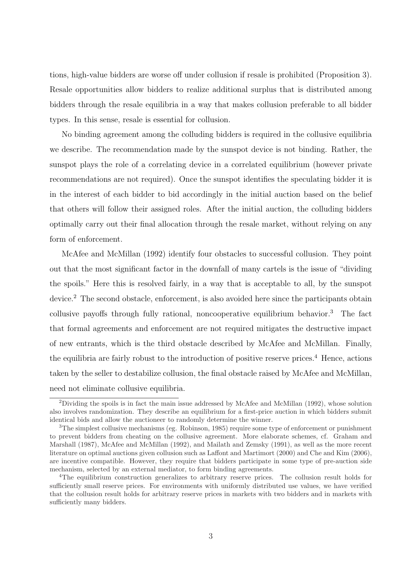tions, high-value bidders are worse off under collusion if resale is prohibited (Proposition 3). Resale opportunities allow bidders to realize additional surplus that is distributed among bidders through the resale equilibria in a way that makes collusion preferable to all bidder types. In this sense, resale is essential for collusion.

No binding agreement among the colluding bidders is required in the collusive equilibria we describe. The recommendation made by the sunspot device is not binding. Rather, the sunspot plays the role of a correlating device in a correlated equilibrium (however private recommendations are not required). Once the sunspot identifies the speculating bidder it is in the interest of each bidder to bid accordingly in the initial auction based on the belief that others will follow their assigned roles. After the initial auction, the colluding bidders optimally carry out their final allocation through the resale market, without relying on any form of enforcement.

McAfee and McMillan (1992) identify four obstacles to successful collusion. They point out that the most significant factor in the downfall of many cartels is the issue of "dividing the spoils." Here this is resolved fairly, in a way that is acceptable to all, by the sunspot device.<sup>2</sup> The second obstacle, enforcement, is also avoided here since the participants obtain collusive payoffs through fully rational, noncooperative equilibrium behavior.<sup>3</sup> The fact that formal agreements and enforcement are not required mitigates the destructive impact of new entrants, which is the third obstacle described by McAfee and McMillan. Finally, the equilibria are fairly robust to the introduction of positive reserve prices.<sup>4</sup> Hence, actions taken by the seller to destabilize collusion, the final obstacle raised by McAfee and McMillan, need not eliminate collusive equilibria.

<sup>2</sup>Dividing the spoils is in fact the main issue addressed by McAfee and McMillan (1992), whose solution also involves randomization. They describe an equilibrium for a first-price auction in which bidders submit identical bids and allow the auctioneer to randomly determine the winner.

<sup>3</sup>The simplest collusive mechanisms (eg. Robinson, 1985) require some type of enforcement or punishment to prevent bidders from cheating on the collusive agreement. More elaborate schemes, cf. Graham and Marshall (1987), McAfee and McMillan (1992), and Mailath and Zemsky (1991), as well as the more recent literature on optimal auctions given collusion such as Laffont and Martimort (2000) and Che and Kim (2006), are incentive compatible. However, they require that bidders participate in some type of pre-auction side mechanism, selected by an external mediator, to form binding agreements.

<sup>4</sup>The equilibrium construction generalizes to arbitrary reserve prices. The collusion result holds for sufficiently small reserve prices. For environments with uniformly distributed use values, we have verified that the collusion result holds for arbitrary reserve prices in markets with two bidders and in markets with sufficiently many bidders.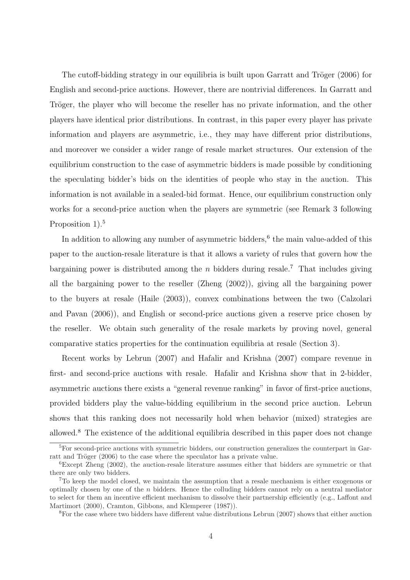The cutoff-bidding strategy in our equilibria is built upon Garratt and Tröger (2006) for English and second-price auctions. However, there are nontrivial differences. In Garratt and Tröger, the player who will become the reseller has no private information, and the other players have identical prior distributions. In contrast, in this paper every player has private information and players are asymmetric, i.e., they may have different prior distributions, and moreover we consider a wider range of resale market structures. Our extension of the equilibrium construction to the case of asymmetric bidders is made possible by conditioning the speculating bidder's bids on the identities of people who stay in the auction. This information is not available in a sealed-bid format. Hence, our equilibrium construction only works for a second-price auction when the players are symmetric (see Remark 3 following Proposition 1).<sup>5</sup>

In addition to allowing any number of asymmetric bidders,<sup>6</sup> the main value-added of this paper to the auction-resale literature is that it allows a variety of rules that govern how the bargaining power is distributed among the *n* bidders during resale.<sup>7</sup> That includes giving all the bargaining power to the reseller (Zheng (2002)), giving all the bargaining power to the buyers at resale (Haile (2003)), convex combinations between the two (Calzolari and Pavan (2006)), and English or second-price auctions given a reserve price chosen by the reseller. We obtain such generality of the resale markets by proving novel, general comparative statics properties for the continuation equilibria at resale (Section 3).

Recent works by Lebrun (2007) and Hafalir and Krishna (2007) compare revenue in first- and second-price auctions with resale. Hafalir and Krishna show that in 2-bidder, asymmetric auctions there exists a "general revenue ranking" in favor of first-price auctions, provided bidders play the value-bidding equilibrium in the second price auction. Lebrun shows that this ranking does not necessarily hold when behavior (mixed) strategies are allowed.<sup>8</sup> The existence of the additional equilibria described in this paper does not change

<sup>5</sup>For second-price auctions with symmetric bidders, our construction generalizes the counterpart in Garratt and Tröger (2006) to the case where the speculator has a private value.

 $6E$ xcept Zheng (2002), the auction-resale literature assumes either that bidders are symmetric or that there are only two bidders.

<sup>&</sup>lt;sup>7</sup>To keep the model closed, we maintain the assumption that a resale mechanism is either exogenous or optimally chosen by one of the n bidders. Hence the colluding bidders cannot rely on a neutral mediator to select for them an incentive efficient mechanism to dissolve their partnership efficiently (e.g., Laffont and Martimort (2000), Cramton, Gibbons, and Klemperer (1987)).

<sup>&</sup>lt;sup>8</sup>For the case where two bidders have different value distributions Lebrun (2007) shows that either auction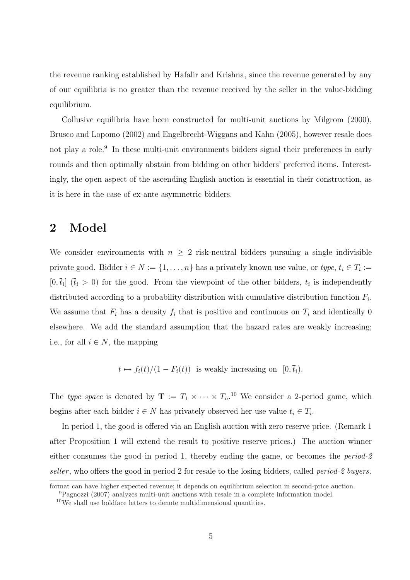the revenue ranking established by Hafalir and Krishna, since the revenue generated by any of our equilibria is no greater than the revenue received by the seller in the value-bidding equilibrium.

Collusive equilibria have been constructed for multi-unit auctions by Milgrom (2000), Brusco and Lopomo (2002) and Engelbrecht-Wiggans and Kahn (2005), however resale does not play a role.<sup>9</sup> In these multi-unit environments bidders signal their preferences in early rounds and then optimally abstain from bidding on other bidders' preferred items. Interestingly, the open aspect of the ascending English auction is essential in their construction, as it is here in the case of ex-ante asymmetric bidders.

## 2 Model

We consider environments with  $n \geq 2$  risk-neutral bidders pursuing a single indivisible private good. Bidder  $i \in N := \{1, \ldots, n\}$  has a privately known use value, or  $type, t_i \in T_i :=$  $[0, \bar{t}_i]$   $(\bar{t}_i > 0)$  for the good. From the viewpoint of the other bidders,  $t_i$  is independently distributed according to a probability distribution with cumulative distribution function  $F_i$ . We assume that  $F_i$  has a density  $f_i$  that is positive and continuous on  $T_i$  and identically 0 elsewhere. We add the standard assumption that the hazard rates are weakly increasing; i.e., for all  $i \in N$ , the mapping

 $t \mapsto f_i(t)/(1 - F_i(t))$  is weakly increasing on  $[0, \bar{t}_i)$ .

The type space is denoted by  $\mathbf{T} := T_1 \times \cdots \times T_n$ <sup>10</sup> We consider a 2-period game, which begins after each bidder  $i \in N$  has privately observed her use value  $t_i \in T_i$ .

In period 1, the good is offered via an English auction with zero reserve price. (Remark 1 after Proposition 1 will extend the result to positive reserve prices.) The auction winner either consumes the good in period 1, thereby ending the game, or becomes the *period-2* seller, who offers the good in period 2 for resale to the losing bidders, called *period-2 buyers*.

format can have higher expected revenue; it depends on equilibrium selection in second-price auction.

<sup>9</sup>Pagnozzi (2007) analyzes multi-unit auctions with resale in a complete information model.

 $10$ We shall use boldface letters to denote multidimensional quantities.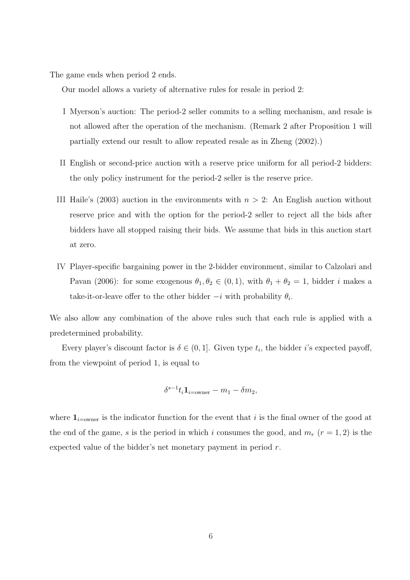The game ends when period 2 ends.

Our model allows a variety of alternative rules for resale in period 2:

- I Myerson's auction: The period-2 seller commits to a selling mechanism, and resale is not allowed after the operation of the mechanism. (Remark 2 after Proposition 1 will partially extend our result to allow repeated resale as in Zheng (2002).)
- II English or second-price auction with a reserve price uniform for all period-2 bidders: the only policy instrument for the period-2 seller is the reserve price.
- III Haile's (2003) auction in the environments with  $n > 2$ : An English auction without reserve price and with the option for the period-2 seller to reject all the bids after bidders have all stopped raising their bids. We assume that bids in this auction start at zero.
- IV Player-specific bargaining power in the 2-bidder environment, similar to Calzolari and Pavan (2006): for some exogenous  $\theta_1, \theta_2 \in (0, 1)$ , with  $\theta_1 + \theta_2 = 1$ , bidder *i* makes a take-it-or-leave offer to the other bidder  $-i$  with probability  $\theta_i$ .

We also allow any combination of the above rules such that each rule is applied with a predetermined probability.

Every player's discount factor is  $\delta \in (0,1]$ . Given type  $t_i$ , the bidder i's expected payoff, from the viewpoint of period 1, is equal to

$$
\delta^{s-1}t_i\mathbf{1}_{i=\text{owner}}-m_1-\delta m_2,
$$

where  $\mathbf{1}_{i=\text{owner}}$  is the indicator function for the event that i is the final owner of the good at the end of the game, s is the period in which i consumes the good, and  $m_r$  ( $r = 1, 2$ ) is the expected value of the bidder's net monetary payment in period r.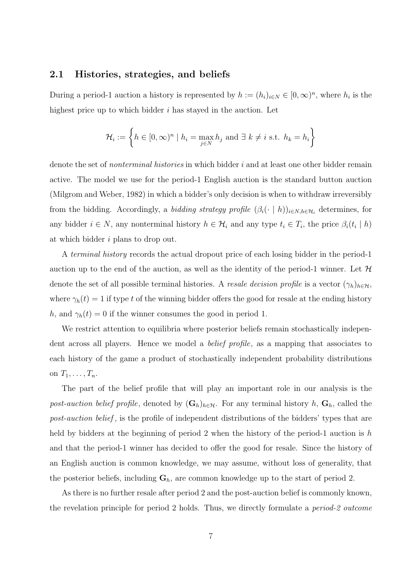#### 2.1 Histories, strategies, and beliefs

During a period-1 auction a history is represented by  $h := (h_i)_{i \in N} \in [0, \infty)^n$ , where  $h_i$  is the highest price up to which bidder  $i$  has stayed in the auction. Let

$$
\mathcal{H}_i := \left\{ h \in [0, \infty)^n \mid h_i = \max_{j \in N} h_j \text{ and } \exists k \neq i \text{ s.t. } h_k = h_i \right\}
$$

denote the set of *nonterminal histories* in which bidder i and at least one other bidder remain active. The model we use for the period-1 English auction is the standard button auction (Milgrom and Weber, 1982) in which a bidder's only decision is when to withdraw irreversibly from the bidding. Accordingly, a *bidding strategy profile*  $(\beta_i(\cdot \mid h))_{i \in N, h \in \mathcal{H}_i}$  determines, for any bidder  $i \in N$ , any nonterminal history  $h \in \mathcal{H}_i$  and any type  $t_i \in T_i$ , the price  $\beta_i(t_i \mid h)$ at which bidder i plans to drop out.

A terminal history records the actual dropout price of each losing bidder in the period-1 auction up to the end of the auction, as well as the identity of the period-1 winner. Let  $\mathcal H$ denote the set of all possible terminal histories. A resale decision profile is a vector  $(\gamma_h)_{h \in \mathcal{H}}$ , where  $\gamma_h(t) = 1$  if type t of the winning bidder offers the good for resale at the ending history h, and  $\gamma_h(t) = 0$  if the winner consumes the good in period 1.

We restrict attention to equilibria where posterior beliefs remain stochastically independent across all players. Hence we model a belief profile, as a mapping that associates to each history of the game a product of stochastically independent probability distributions on  $T_1, \ldots, T_n$ .

The part of the belief profile that will play an important role in our analysis is the post-auction belief profile, denoted by  $(G_h)_{h \in H}$ . For any terminal history h,  $G_h$ , called the post-auction belief , is the profile of independent distributions of the bidders' types that are held by bidders at the beginning of period 2 when the history of the period-1 auction is h and that the period-1 winner has decided to offer the good for resale. Since the history of an English auction is common knowledge, we may assume, without loss of generality, that the posterior beliefs, including  $G_h$ , are common knowledge up to the start of period 2.

As there is no further resale after period 2 and the post-auction belief is commonly known, the revelation principle for period 2 holds. Thus, we directly formulate a period-2 outcome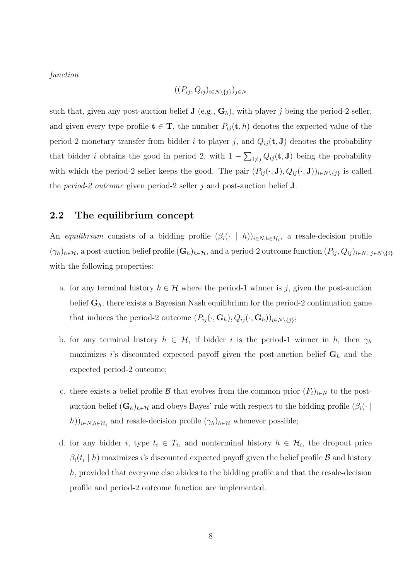function

$$
((P_{ij}, Q_{ij})_{i \in N \setminus \{j\}})_{j \in N}
$$

such that, given any post-auction belief  $J$  (e.g.,  $G_h$ ), with player j being the period-2 seller, and given every type profile  $\mathbf{t} \in \mathbf{T}$ , the number  $P_{ij}(\mathbf{t}, h)$  denotes the expected value of the period-2 monetary transfer from bidder i to player j, and  $Q_{ij}(\mathbf{t}, \mathbf{J})$  denotes the probability that bidder i obtains the good in period 2, with  $1 \overline{ }$  $i_{\neq j} Q_{ij}(\mathbf{t}, \mathbf{J})$  being the probability with which the period-2 seller keeps the good. The pair  $(P_{ij}(\cdot, \mathbf{J}), Q_{ij}(\cdot, \mathbf{J}))_{i \in N \setminus \{j\}}$  is called the *period-2 outcome* given period-2 seller  $j$  and post-auction belief **J**.

### 2.2 The equilibrium concept

An equilibrium consists of a bidding profile  $(\beta_i(\cdot \mid h))_{i \in N, h \in \mathcal{H}_i}$ , a resale-decision profile  $(\gamma_h)_{h \in \mathcal{H}}$ , a post-auction belief profile  $(\mathbf{G}_h)_{h \in \mathcal{H}}$ , and a period-2 outcome function  $(P_{ij}, Q_{ij})_{i \in N, j \in N\setminus\{i\}}$ with the following properties:

- a. for any terminal history  $h \in \mathcal{H}$  where the period-1 winner is j, given the post-auction belief  $G_h$ , there exists a Bayesian Nash equilibrium for the period-2 continuation game that induces the period-2 outcome  $(P_{ij}(\cdot, \mathbf{G}_h), Q_{ij}(\cdot, \mathbf{G}_h))_{i \in N \setminus \{j\}};$
- b. for any terminal history  $h \in \mathcal{H}$ , if bidder i is the period-1 winner in h, then  $\gamma_h$ maximizes i's discounted expected payoff given the post-auction belief  $G_h$  and the expected period-2 outcome;
- c. there exists a belief profile B that evolves from the common prior  $(F_i)_{i\in N}$  to the postauction belief  $(G_h)_{h\in\mathcal{H}}$  and obeys Bayes' rule with respect to the bidding profile  $(\beta_i(\cdot))$  $(h))_{i\in N, h\in\mathcal{H}_i}$  and resale-decision profile  $(\gamma_h)_{h\in\mathcal{H}}$  whenever possible;
- d. for any bidder i, type  $t_i \in T_i$ , and nonterminal history  $h \in \mathcal{H}_i$ , the dropout price  $\beta_i(t_i \mid h)$  maximizes i's discounted expected payoff given the belief profile  ${\cal B}$  and history  $h$ , provided that everyone else abides to the bidding profile and that the resale-decision profile and period-2 outcome function are implemented.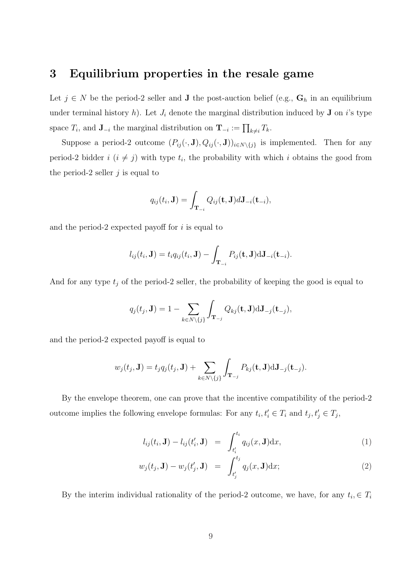# 3 Equilibrium properties in the resale game

Let  $j \in N$  be the period-2 seller and **J** the post-auction belief (e.g.,  $\mathbf{G}_h$  in an equilibrium under terminal history h). Let  $J_i$  denote the marginal distribution induced by **J** on i's type space  $T_i$ , and  $\mathbf{J}_{-i}$  the marginal distribution on  $\mathbf{T}_{-i} := \prod_{k \neq i} T_k$ .

Suppose a period-2 outcome  $(P_{ij}(\cdot, \mathbf{J}), Q_{ij}(\cdot, \mathbf{J}))_{i \in N \setminus \{j\}}$  is implemented. Then for any period-2 bidder  $i$   $(i \neq j)$  with type  $t_i$ , the probability with which i obtains the good from the period-2 seller  $j$  is equal to

$$
q_{ij}(t_i, \mathbf{J}) = \int_{\mathbf{T}_{-i}} Q_{ij}(\mathbf{t}, \mathbf{J}) d\mathbf{J}_{-i}(\mathbf{t}_{-i}),
$$

and the period-2 expected payoff for  $i$  is equal to

$$
l_{ij}(t_i, \mathbf{J}) = t_i q_{ij}(t_i, \mathbf{J}) - \int_{\mathbf{T}_{-i}} P_{ij}(\mathbf{t}, \mathbf{J}) d\mathbf{J}_{-i}(\mathbf{t}_{-i}).
$$

And for any type  $t_j$  of the period-2 seller, the probability of keeping the good is equal to

$$
q_j(t_j, \mathbf{J}) = 1 - \sum_{k \in N \setminus \{j\}} \int_{\mathbf{T}_{-j}} Q_{kj}(\mathbf{t}, \mathbf{J}) d\mathbf{J}_{-j}(\mathbf{t}_{-j}),
$$

and the period-2 expected payoff is equal to

$$
w_j(t_j, \mathbf{J}) = t_j q_j(t_j, \mathbf{J}) + \sum_{k \in N \setminus \{j\}} \int_{\mathbf{T}_{-j}} P_{kj}(\mathbf{t}, \mathbf{J}) d\mathbf{J}_{-j}(\mathbf{t}_{-j}).
$$

By the envelope theorem, one can prove that the incentive compatibility of the period-2 outcome implies the following envelope formulas: For any  $t_i, t'_i \in T_i$  and  $t_j, t'_j \in T_j$ ,

$$
l_{ij}(t_i, \mathbf{J}) - l_{ij}(t'_i, \mathbf{J}) = \int_{t'_i}^{t_i} q_{ij}(x, \mathbf{J}) dx,
$$
\n(1)

$$
w_j(t_j, \mathbf{J}) - w_j(t'_j, \mathbf{J}) = \int_{t'_j}^{t_j} q_j(x, \mathbf{J}) dx; \qquad (2)
$$

By the interim individual rationality of the period-2 outcome, we have, for any  $t_i \in T_i$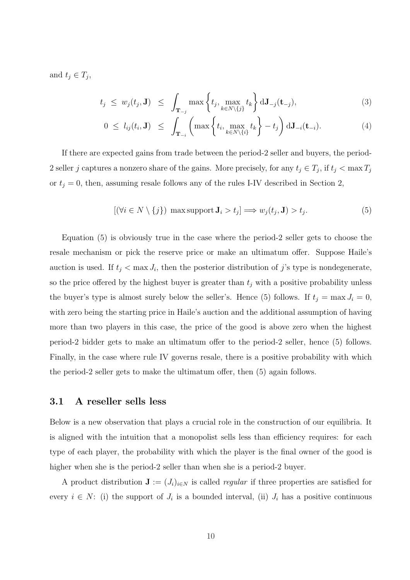and  $t_j \in T_j$ ,

$$
t_j \leq w_j(t_j, \mathbf{J}) \leq \int_{\mathbf{T}_{-j}} \max\left\{t_j, \max_{k \in N \setminus \{j\}} t_k\right\} d\mathbf{J}_{-j}(\mathbf{t}_{-j}), \tag{3}
$$

$$
0 \leq l_{ij}(t_i, \mathbf{J}) \leq \int_{\mathbf{T}_{-i}} \left( \max \left\{ t_i, \max_{k \in N \setminus \{i\}} t_k \right\} - t_j \right) d \mathbf{J}_{-i}(\mathbf{t}_{-i}). \tag{4}
$$

If there are expected gains from trade between the period-2 seller and buyers, the period-2 seller j captures a nonzero share of the gains. More precisely, for any  $t_j \in T_j$ , if  $t_j < \max T_j$ or  $t_j = 0$ , then, assuming resale follows any of the rules I-IV described in Section 2,

$$
[(\forall i \in N \setminus \{j\}) \max \text{support } J_i > t_j] \Longrightarrow w_j(t_j, J) > t_j. \tag{5}
$$

Equation (5) is obviously true in the case where the period-2 seller gets to choose the resale mechanism or pick the reserve price or make an ultimatum offer. Suppose Haile's auction is used. If  $t_j < \max J_i$ , then the posterior distribution of j's type is nondegenerate, so the price offered by the highest buyer is greater than  $t_j$  with a positive probability unless the buyer's type is almost surely below the seller's. Hence (5) follows. If  $t_j = \max J_i = 0$ , with zero being the starting price in Haile's auction and the additional assumption of having more than two players in this case, the price of the good is above zero when the highest period-2 bidder gets to make an ultimatum offer to the period-2 seller, hence (5) follows. Finally, in the case where rule IV governs resale, there is a positive probability with which the period-2 seller gets to make the ultimatum offer, then (5) again follows.

### 3.1 A reseller sells less

Below is a new observation that plays a crucial role in the construction of our equilibria. It is aligned with the intuition that a monopolist sells less than efficiency requires: for each type of each player, the probability with which the player is the final owner of the good is higher when she is the period-2 seller than when she is a period-2 buyer.

A product distribution  $\mathbf{J} := (J_i)_{i \in N}$  is called *regular* if three properties are satisfied for every  $i \in N$ : (i) the support of  $J_i$  is a bounded interval, (ii)  $J_i$  has a positive continuous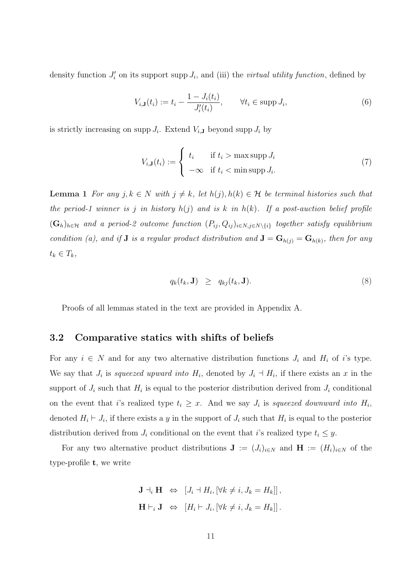density function  $J_i'$  on its support supp  $J_i$ , and (iii) the *virtual utility function*, defined by

$$
V_{i,\mathbf{J}}(t_i) := t_i - \frac{1 - J_i(t_i)}{J'_i(t_i)}, \qquad \forall t_i \in \text{supp } J_i,
$$
\n
$$
(6)
$$

is strictly increasing on supp  $J_i$ . Extend  $V_{i,J}$  beyond supp  $J_i$  by

$$
V_{i,J}(t_i) := \begin{cases} t_i & \text{if } t_i > \max \text{supp } J_i \\ -\infty & \text{if } t_i < \min \text{supp } J_i. \end{cases}
$$
 (7)

**Lemma 1** For any  $j, k \in N$  with  $j \neq k$ , let  $h(j), h(k) \in \mathcal{H}$  be terminal histories such that the period-1 winner is j in history  $h(j)$  and is k in  $h(k)$ . If a post-auction belief profile  $(G_h)_{h \in \mathcal{H}}$  and a period-2 outcome function  $(P_{ij}, Q_{ij})_{i \in N, j \in N \setminus \{i\}}$  together satisfy equilibrium condition (a), and if **J** is a regular product distribution and  $\mathbf{J} = \mathbf{G}_{h(j)} = \mathbf{G}_{h(k)}$ , then for any  $t_k \in T_k$ ,

$$
q_k(t_k, \mathbf{J}) \ge q_{kj}(t_k, \mathbf{J}). \tag{8}
$$

Proofs of all lemmas stated in the text are provided in Appendix A.

### 3.2 Comparative statics with shifts of beliefs

For any  $i \in N$  and for any two alternative distribution functions  $J_i$  and  $H_i$  of i's type. We say that  $J_i$  is squeezed upward into  $H_i$ , denoted by  $J_i \dashv H_i$ , if there exists an x in the support of  $J_i$  such that  $H_i$  is equal to the posterior distribution derived from  $J_i$  conditional on the event that i's realized type  $t_i \geq x$ . And we say  $J_i$  is squeezed downward into  $H_i$ , denoted  $H_i \vdash J_i$ , if there exists a y in the support of  $J_i$  such that  $H_i$  is equal to the posterior distribution derived from  $J_i$  conditional on the event that i's realized type  $t_i \leq y$ .

For any two alternative product distributions  $\mathbf{J} := (J_i)_{i \in N}$  and  $\mathbf{H} := (H_i)_{i \in N}$  of the type-profile t, we write

$$
\mathbf{J} \dashv_i \mathbf{H} \iff [J_i \dashv H_i, [\forall k \neq i, J_k = H_k]],
$$
  

$$
\mathbf{H} \vdash_i \mathbf{J} \iff [H_i \vdash J_i, [\forall k \neq i, J_k = H_k]].
$$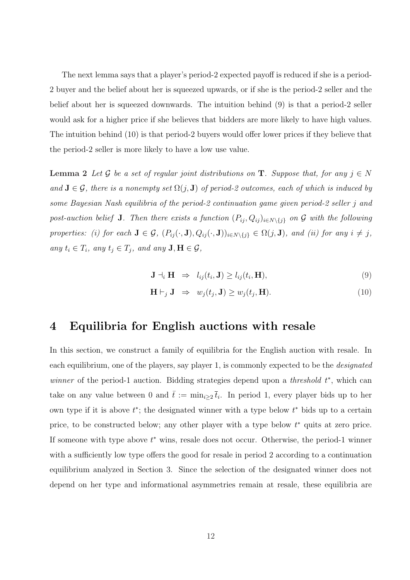The next lemma says that a player's period-2 expected payoff is reduced if she is a period-2 buyer and the belief about her is squeezed upwards, or if she is the period-2 seller and the belief about her is squeezed downwards. The intuition behind (9) is that a period-2 seller would ask for a higher price if she believes that bidders are more likely to have high values. The intuition behind (10) is that period-2 buyers would offer lower prices if they believe that the period-2 seller is more likely to have a low use value.

**Lemma 2** Let G be a set of regular joint distributions on **T**. Suppose that, for any  $j \in N$ and  $J \in \mathcal{G}$ , there is a nonempty set  $\Omega(j, J)$  of period-2 outcomes, each of which is induced by some Bayesian Nash equilibria of the period-2 continuation game given period-2 seller j and post-auction belief **J**. Then there exists a function  $(P_{ij}, Q_{ij})_{i \in N \setminus \{j\}}$  on G with the following properties: (i) for each  $J \in \mathcal{G}$ ,  $(P_{ij}(\cdot, J), Q_{ij}(\cdot, J))_{i \in N \setminus \{j\}} \in \Omega(j, J)$ , and (ii) for any  $i \neq j$ , any  $t_i \in T_i$ , any  $t_j \in T_j$ , and any  $\mathbf{J}, \mathbf{H} \in \mathcal{G}$ ,

$$
\mathbf{J} \dashv_i \mathbf{H} \implies l_{ij}(t_i, \mathbf{J}) \ge l_{ij}(t_i, \mathbf{H}), \tag{9}
$$

$$
\mathbf{H} \vdash_j \mathbf{J} \;\; \Rightarrow \;\; w_j(t_j, \mathbf{J}) \geq w_j(t_j, \mathbf{H}). \tag{10}
$$

## 4 Equilibria for English auctions with resale

In this section, we construct a family of equilibria for the English auction with resale. In each equilibrium, one of the players, say player 1, is commonly expected to be the *designated* winner of the period-1 auction. Bidding strategies depend upon a *threshold*  $t^*$ , which can take on any value between 0 and  $\bar{t} := \min_{i \geq 2} \bar{t}_i$ . In period 1, every player bids up to her own type if it is above  $t^*$ ; the designated winner with a type below  $t^*$  bids up to a certain price, to be constructed below; any other player with a type below  $t^*$  quits at zero price. If someone with type above  $t^*$  wins, resale does not occur. Otherwise, the period-1 winner with a sufficiently low type offers the good for resale in period 2 according to a continuation equilibrium analyzed in Section 3. Since the selection of the designated winner does not depend on her type and informational asymmetries remain at resale, these equilibria are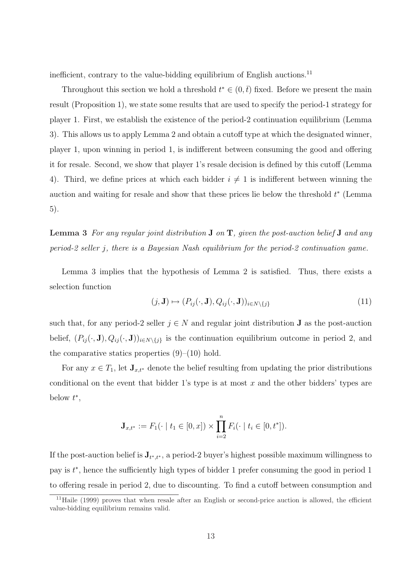inefficient, contrary to the value-bidding equilibrium of English auctions.<sup>11</sup>

Throughout this section we hold a threshold  $t^* \in (0, \bar{t})$  fixed. Before we present the main result (Proposition 1), we state some results that are used to specify the period-1 strategy for player 1. First, we establish the existence of the period-2 continuation equilibrium (Lemma 3). This allows us to apply Lemma 2 and obtain a cutoff type at which the designated winner, player 1, upon winning in period 1, is indifferent between consuming the good and offering it for resale. Second, we show that player 1's resale decision is defined by this cutoff (Lemma 4). Third, we define prices at which each bidder  $i \neq 1$  is indifferent between winning the auction and waiting for resale and show that these prices lie below the threshold  $t^*$  (Lemma 5).

**Lemma 3** For any regular joint distribution  $J$  on  $T$ , given the post-auction belief  $J$  and any period-2 seller j, there is a Bayesian Nash equilibrium for the period-2 continuation game.

Lemma 3 implies that the hypothesis of Lemma 2 is satisfied. Thus, there exists a selection function

$$
(j, J) \mapsto (P_{ij}(\cdot, J), Q_{ij}(\cdot, J))_{i \in N \setminus \{j\}} \tag{11}
$$

such that, for any period-2 seller  $j \in N$  and regular joint distribution **J** as the post-auction belief,  $(P_{ij}(\cdot, \mathbf{J}), Q_{ij}(\cdot, \mathbf{J}))_{i \in N \setminus \{j\}}$  is the continuation equilibrium outcome in period 2, and the comparative statics properties  $(9)$ – $(10)$  hold.

For any  $x \in T_1$ , let  $\mathbf{J}_{x,t^*}$  denote the belief resulting from updating the prior distributions conditional on the event that bidder 1's type is at most  $x$  and the other bidders' types are below  $t^*$ ,

$$
\mathbf{J}_{x,t^*} := F_1(\cdot \mid t_1 \in [0,x]) \times \prod_{i=2}^n F_i(\cdot \mid t_i \in [0,t^*]).
$$

If the post-auction belief is  $J_{t^*,t^*}$ , a period-2 buyer's highest possible maximum willingness to pay is  $t^*$ , hence the sufficiently high types of bidder 1 prefer consuming the good in period 1 to offering resale in period 2, due to discounting. To find a cutoff between consumption and

 $11$ Haile (1999) proves that when resale after an English or second-price auction is allowed, the efficient value-bidding equilibrium remains valid.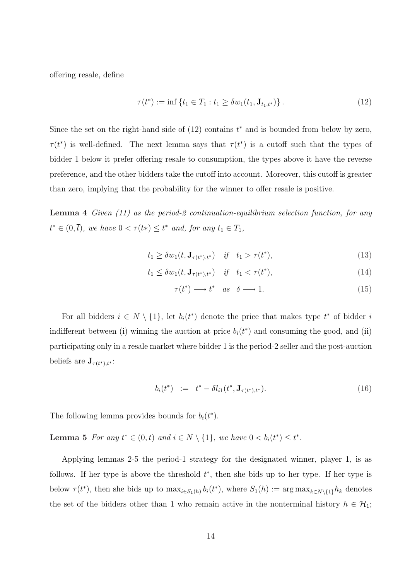offering resale, define

$$
\tau(t^*) := \inf \{ t_1 \in T_1 : t_1 \ge \delta w_1(t_1, \mathbf{J}_{t_1, t^*}) \}.
$$
\n(12)

Since the set on the right-hand side of  $(12)$  contains  $t^*$  and is bounded from below by zero,  $\tau(t^*)$  is well-defined. The next lemma says that  $\tau(t^*)$  is a cutoff such that the types of bidder 1 below it prefer offering resale to consumption, the types above it have the reverse preference, and the other bidders take the cutoff into account. Moreover, this cutoff is greater than zero, implying that the probability for the winner to offer resale is positive.

Lemma 4 Given (11) as the period-2 continuation-equilibrium selection function, for any  $t^* \in (0, \overline{t})$ , we have  $0 < \tau(t^*) \leq t^*$  and, for any  $t_1 \in T_1$ ,

$$
t_1 \ge \delta w_1(t, \mathbf{J}_{\tau(t^*), t^*}) \quad \text{if} \quad t_1 > \tau(t^*), \tag{13}
$$

$$
t_1 \le \delta w_1(t, \mathbf{J}_{\tau(t^*), t^*}) \quad \text{if} \quad t_1 < \tau(t^*), \tag{14}
$$

$$
\tau(t^*) \longrightarrow t^* \quad as \quad \delta \longrightarrow 1. \tag{15}
$$

For all bidders  $i \in N \setminus \{1\}$ , let  $b_i(t^*)$  denote the price that makes type  $t^*$  of bidder i indifferent between (i) winning the auction at price  $b_i(t^*)$  and consuming the good, and (ii) participating only in a resale market where bidder 1 is the period-2 seller and the post-auction beliefs are  $\mathbf{J}_{\tau(t^*),t^*}$ :

$$
b_i(t^*) \quad := \quad t^* - \delta l_{i1}(t^*, \mathbf{J}_{\tau(t^*), t^*}). \tag{16}
$$

The following lemma provides bounds for  $b_i(t^*)$ .

**Lemma 5** For any  $t^* \in (0,\bar{t})$  and  $i \in N \setminus \{1\}$ , we have  $0 < b_i(t^*) \leq t^*$ .

Applying lemmas 2-5 the period-1 strategy for the designated winner, player 1, is as follows. If her type is above the threshold  $t^*$ , then she bids up to her type. If her type is below  $\tau(t^*)$ , then she bids up to  $\max_{i \in S_1(h)} b_i(t^*)$ , where  $S_1(h) := \arg \max_{k \in N \setminus \{1\}} h_k$  denotes the set of the bidders other than 1 who remain active in the nonterminal history  $h \in \mathcal{H}_1$ ;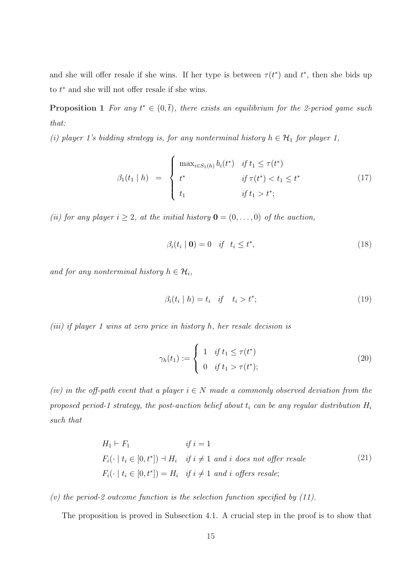and she will offer resale if she wins. If her type is between  $\tau(t^*)$  and  $t^*$ , then she bids up to  $t^*$  and she will not offer resale if she wins.

**Proposition 1** For any  $t^* \in (0, \bar{t})$ , there exists an equilibrium for the 2-period game such that:

(i) player 1's bidding strategy is, for any nonterminal history  $h \in \mathcal{H}_1$  for player 1,

$$
\beta_1(t_1 | h) = \begin{cases} \max_{i \in S_1(h)} b_i(t^*) & \text{if } t_1 \le \tau(t^*) \\ t^* & \text{if } \tau(t^*) < t_1 \le t^* \\ t_1 & \text{if } t_1 > t^*; \end{cases} \tag{17}
$$

(ii) for any player  $i \geq 2$ , at the initial history  $\mathbf{0} = (0, \ldots, 0)$  of the auction,

$$
\beta_i(t_i \mid \mathbf{0}) = 0 \quad \text{if} \quad t_i \le t^*, \tag{18}
$$

and for any nonterminal history  $h \in \mathcal{H}_i$ ,

$$
\beta_i(t_i \mid h) = t_i \quad \text{if} \quad t_i > t^*; \tag{19}
$$

(iii) if player 1 wins at zero price in history h, her resale decision is

$$
\gamma_h(t_1) := \begin{cases} 1 & \text{if } t_1 \le \tau(t^*) \\ 0 & \text{if } t_1 > \tau(t^*); \end{cases}
$$
 (20)

(iv) in the off-path event that a player  $i \in N$  made a commonly observed deviation from the proposed period-1 strategy, the post-auction belief about  $t_i$  can be any regular distribution  $H_i$ such that

$$
H_1 \vdash F_1 \qquad \qquad if \ i = 1
$$
  

$$
F_i(\cdot \mid t_i \in [0, t^*]) \dashv H_i \quad \text{if } i \neq 1 \text{ and } i \text{ does not offer resale}
$$
  

$$
F_i(\cdot \mid t_i \in [0, t^*]) = H_i \quad \text{if } i \neq 1 \text{ and } i \text{ offers resale};
$$
  

$$
(21)
$$

#### (v) the period-2 outcome function is the selection function specified by  $(11)$ .

The proposition is proved in Subsection 4.1. A crucial step in the proof is to show that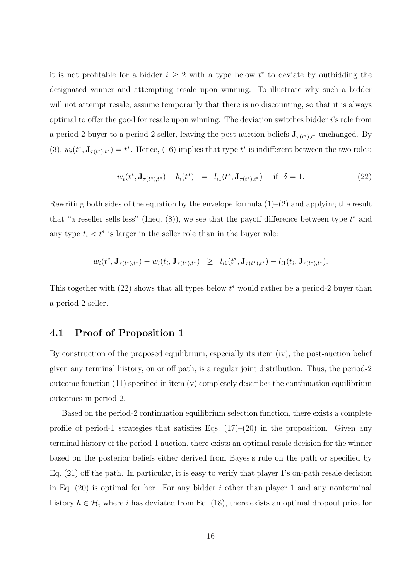it is not profitable for a bidder  $i \geq 2$  with a type below  $t^*$  to deviate by outbidding the designated winner and attempting resale upon winning. To illustrate why such a bidder will not attempt resale, assume temporarily that there is no discounting, so that it is always optimal to offer the good for resale upon winning. The deviation switches bidder i's role from a period-2 buyer to a period-2 seller, leaving the post-auction beliefs  $J_{\tau(t^*),t^*}$  unchanged. By (3),  $w_i(t^*, \mathbf{J}_{\tau(t^*),t^*}) = t^*$ . Hence, (16) implies that type  $t^*$  is indifferent between the two roles:

$$
w_i(t^*, \mathbf{J}_{\tau(t^*), t^*}) - b_i(t^*) = l_{i1}(t^*, \mathbf{J}_{\tau(t^*), t^*}) \quad \text{if } \delta = 1.
$$
 (22)

Rewriting both sides of the equation by the envelope formula  $(1)-(2)$  and applying the result that "a reseller sells less" (Ineq.  $(8)$ ), we see that the payoff difference between type  $t^*$  and any type  $t_i < t^*$  is larger in the seller role than in the buyer role:

$$
w_i(t^*, \mathbf{J}_{\tau(t^*),t^*}) - w_i(t_i, \mathbf{J}_{\tau(t^*),t^*}) \geq l_{i1}(t^*, \mathbf{J}_{\tau(t^*),t^*}) - l_{i1}(t_i, \mathbf{J}_{\tau(t^*),t^*}).
$$

This together with  $(22)$  shows that all types below  $t^*$  would rather be a period-2 buyer than a period-2 seller.

### 4.1 Proof of Proposition 1

By construction of the proposed equilibrium, especially its item (iv), the post-auction belief given any terminal history, on or off path, is a regular joint distribution. Thus, the period-2 outcome function  $(11)$  specified in item  $(v)$  completely describes the continuation equilibrium outcomes in period 2.

Based on the period-2 continuation equilibrium selection function, there exists a complete profile of period-1 strategies that satisfies Eqs.  $(17)$ – $(20)$  in the proposition. Given any terminal history of the period-1 auction, there exists an optimal resale decision for the winner based on the posterior beliefs either derived from Bayes's rule on the path or specified by Eq. (21) off the path. In particular, it is easy to verify that player 1's on-path resale decision in Eq.  $(20)$  is optimal for her. For any bidder i other than player 1 and any nonterminal history  $h \in \mathcal{H}_i$  where i has deviated from Eq. (18), there exists an optimal dropout price for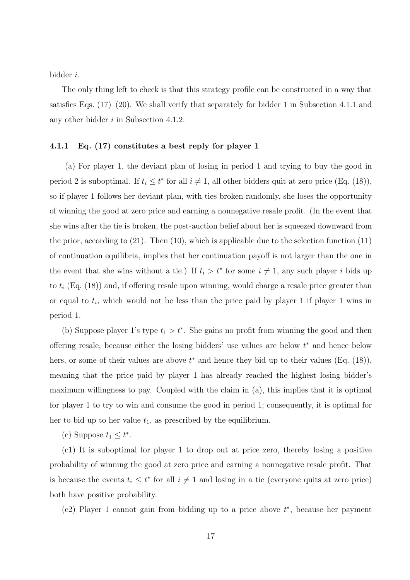bidder i.

The only thing left to check is that this strategy profile can be constructed in a way that satisfies Eqs.  $(17)–(20)$ . We shall verify that separately for bidder 1 in Subsection 4.1.1 and any other bidder i in Subsection 4.1.2.

#### 4.1.1 Eq. (17) constitutes a best reply for player 1

(a) For player 1, the deviant plan of losing in period 1 and trying to buy the good in period 2 is suboptimal. If  $t_i \leq t^*$  for all  $i \neq 1$ , all other bidders quit at zero price (Eq. (18)), so if player 1 follows her deviant plan, with ties broken randomly, she loses the opportunity of winning the good at zero price and earning a nonnegative resale profit. (In the event that she wins after the tie is broken, the post-auction belief about her is squeezed downward from the prior, according to  $(21)$ . Then  $(10)$ , which is applicable due to the selection function  $(11)$ of continuation equilibria, implies that her continuation payoff is not larger than the one in the event that she wins without a tie.) If  $t_i > t^*$  for some  $i \neq 1$ , any such player i bids up to  $t_i$  (Eq. (18)) and, if offering resale upon winning, would charge a resale price greater than or equal to  $t_i$ , which would not be less than the price paid by player 1 if player 1 wins in period 1.

(b) Suppose player 1's type  $t_1 > t^*$ . She gains no profit from winning the good and then offering resale, because either the losing bidders' use values are below  $t^*$  and hence below hers, or some of their values are above  $t^*$  and hence they bid up to their values (Eq. (18)), meaning that the price paid by player 1 has already reached the highest losing bidder's maximum willingness to pay. Coupled with the claim in (a), this implies that it is optimal for player 1 to try to win and consume the good in period 1; consequently, it is optimal for her to bid up to her value  $t_1$ , as prescribed by the equilibrium.

(c) Suppose  $t_1 \leq t^*$ .

(c1) It is suboptimal for player 1 to drop out at price zero, thereby losing a positive probability of winning the good at zero price and earning a nonnegative resale profit. That is because the events  $t_i \leq t^*$  for all  $i \neq 1$  and losing in a tie (everyone quits at zero price) both have positive probability.

(c2) Player 1 cannot gain from bidding up to a price above  $t^*$ , because her payment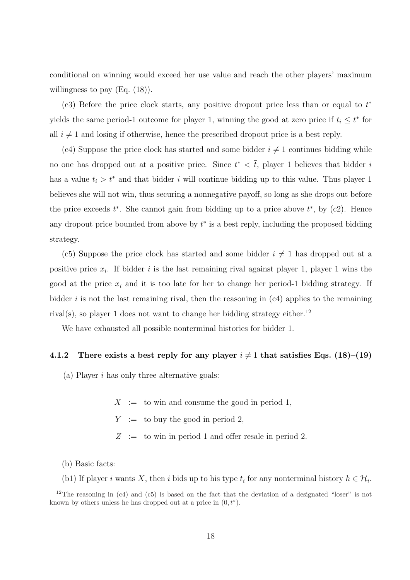conditional on winning would exceed her use value and reach the other players' maximum willingness to pay (Eq.  $(18)$ ).

(c3) Before the price clock starts, any positive dropout price less than or equal to  $t^*$ yields the same period-1 outcome for player 1, winning the good at zero price if  $t_i \leq t^*$  for all  $i \neq 1$  and losing if otherwise, hence the prescribed dropout price is a best reply.

(c4) Suppose the price clock has started and some bidder  $i \neq 1$  continues bidding while no one has dropped out at a positive price. Since  $t^* < \overline{t}$ , player 1 believes that bidder i has a value  $t_i > t^*$  and that bidder i will continue bidding up to this value. Thus player 1 believes she will not win, thus securing a nonnegative payoff, so long as she drops out before the price exceeds  $t^*$ . She cannot gain from bidding up to a price above  $t^*$ , by (c2). Hence any dropout price bounded from above by  $t^*$  is a best reply, including the proposed bidding strategy.

(c5) Suppose the price clock has started and some bidder  $i \neq 1$  has dropped out at a positive price  $x_i$ . If bidder i is the last remaining rival against player 1, player 1 wins the good at the price  $x_i$  and it is too late for her to change her period-1 bidding strategy. If bidder i is not the last remaining rival, then the reasoning in  $(c4)$  applies to the remaining rival(s), so player 1 does not want to change her bidding strategy either.<sup>12</sup>

We have exhausted all possible nonterminal histories for bidder 1.

#### 4.1.2 There exists a best reply for any player  $i \neq 1$  that satisfies Eqs. (18)–(19)

(a) Player  $i$  has only three alternative goals:

 $X :=$  to win and consume the good in period 1,

 $Y :=$  to buy the good in period 2.

 $Z :=$  to win in period 1 and offer resale in period 2.

(b) Basic facts:

(b1) If player i wants X, then i bids up to his type  $t_i$  for any nonterminal history  $h \in \mathcal{H}_i$ .

<sup>&</sup>lt;sup>12</sup>The reasoning in (c4) and (c5) is based on the fact that the deviation of a designated "loser" is not known by others unless he has dropped out at a price in  $(0, t^*)$ .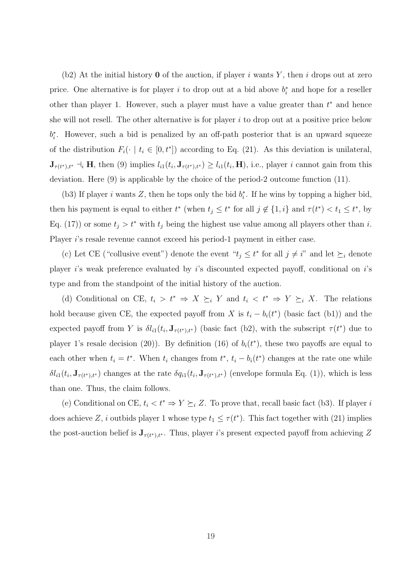(b2) At the initial history **0** of the auction, if player i wants Y, then i drops out at zero price. One alternative is for player i to drop out at a bid above  $b_i^*$  and hope for a reseller other than player 1. However, such a player must have a value greater than  $t^*$  and hence she will not resell. The other alternative is for player  $i$  to drop out at a positive price below  $b_i^*$ . However, such a bid is penalized by an off-path posterior that is an upward squeeze of the distribution  $F_i(\cdot \mid t_i \in [0, t^*])$  according to Eq. (21). As this deviation is unilateral,  $\mathbf{J}_{\tau(t^*),t^*} \dashv_i \mathbf{H}$ , then (9) implies  $l_{i1}(t_i,\mathbf{J}_{\tau(t^*),t^*}) \geq l_{i1}(t_i,\mathbf{H})$ , i.e., player i cannot gain from this deviation. Here (9) is applicable by the choice of the period-2 outcome function (11).

(b3) If player i wants Z, then he tops only the bid  $b_i^*$ . If he wins by topping a higher bid, then his payment is equal to either  $t^*$  (when  $t_j \leq t^*$  for all  $j \notin \{1, i\}$  and  $\tau(t^*) < t_1 \leq t^*$ , by Eq. (17)) or some  $t_j > t^*$  with  $t_j$  being the highest use value among all players other than i. Player i's resale revenue cannot exceed his period-1 payment in either case.

(c) Let CE ("collusive event") denote the event " $t_j \leq t^*$  for all  $j \neq i$ " and let  $\succeq_i$  denote player i's weak preference evaluated by i's discounted expected payoff, conditional on i's type and from the standpoint of the initial history of the auction.

(d) Conditional on CE,  $t_i > t^* \Rightarrow X \succeq_i Y$  and  $t_i < t^* \Rightarrow Y \succeq_i X$ . The relations hold because given CE, the expected payoff from X is  $t_i - b_i(t^*)$  (basic fact (b1)) and the expected payoff from Y is  $\delta l_{i1}(t_i, \mathbf{J}_{\tau(t^*),t^*})$  (basic fact (b2), with the subscript  $\tau(t^*)$  due to player 1's resale decision (20)). By definition (16) of  $b_i(t^*)$ , these two payoffs are equal to each other when  $t_i = t^*$ . When  $t_i$  changes from  $t^*$ ,  $t_i - b_i(t^*)$  changes at the rate one while  $\delta l_{i1}(t_i, \mathbf{J}_{\tau(t^*),t^*})$  changes at the rate  $\delta q_{i1}(t_i, \mathbf{J}_{\tau(t^*),t^*})$  (envelope formula Eq. (1)), which is less than one. Thus, the claim follows.

(e) Conditional on CE,  $t_i < t^* \Rightarrow Y \succeq_i Z$ . To prove that, recall basic fact (b3). If player i does achieve Z, i outbids player 1 whose type  $t_1 \leq \tau(t^*)$ . This fact together with (21) implies the post-auction belief is  $J_{\tau(t^*),t^*}$ . Thus, player *i*'s present expected payoff from achieving Z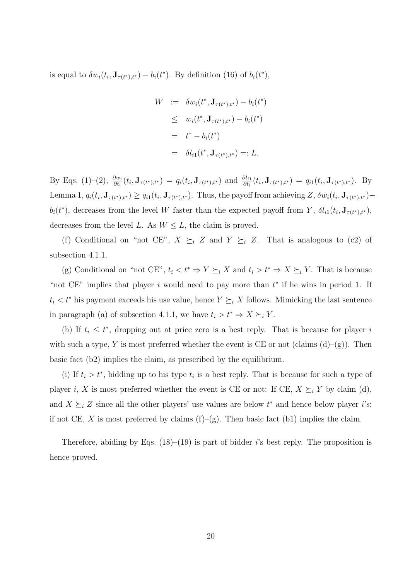is equal to  $\delta w_i(t_i, \mathbf{J}_{\tau(t^*),t^*}) - b_i(t^*)$ . By definition (16) of  $b_i(t^*),$ 

$$
W := \delta w_i(t^*, \mathbf{J}_{\tau(t^*), t^*}) - b_i(t^*)
$$
  
\n
$$
\leq w_i(t^*, \mathbf{J}_{\tau(t^*), t^*}) - b_i(t^*)
$$
  
\n
$$
= t^* - b_i(t^*)
$$
  
\n
$$
= \delta l_{i1}(t^*, \mathbf{J}_{\tau(t^*), t^*}) =: L.
$$

By Eqs. (1)–(2),  $\frac{\partial w_i}{\partial t_i}(t_i, \mathbf{J}_{\tau(t^*),t^*}) = q_i(t_i, \mathbf{J}_{\tau(t^*),t^*})$  and  $\frac{\partial l_{i1}}{\partial t_i}(t_i, \mathbf{J}_{\tau(t^*),t^*}) = q_{i1}(t_i, \mathbf{J}_{\tau(t^*),t^*})$ . By Lemma 1,  $q_i(t_i, \mathbf{J}_{\tau(t^*),t^*}) \geq q_{i1}(t_i, \mathbf{J}_{\tau(t^*),t^*})$ . Thus, the payoff from achieving  $Z, \delta w_i(t_i, \mathbf{J}_{\tau(t^*),t^*})$  $b_i(t^*)$ , decreases from the level W faster than the expected payoff from Y,  $\delta l_{i1}(t_i, \mathbf{J}_{\tau(t^*),t^*})$ , decreases from the level L. As  $W \leq L$ , the claim is proved.

(f) Conditional on "not CE",  $X \succeq_i Z$  and  $Y \succeq_i Z$ . That is analogous to (c2) of subsection 4.1.1.

(g) Conditional on "not CE",  $t_i < t^* \Rightarrow Y \succeq_i X$  and  $t_i > t^* \Rightarrow X \succeq_i Y$ . That is because "not  $CE$ " implies that player i would need to pay more than  $t^*$  if he wins in period 1. If  $t_i < t^*$  his payment exceeds his use value, hence  $Y \succeq_i X$  follows. Mimicking the last sentence in paragraph (a) of subsection 4.1.1, we have  $t_i > t^* \Rightarrow X \succeq_i Y$ .

(h) If  $t_i \leq t^*$ , dropping out at price zero is a best reply. That is because for player i with such a type, Y is most preferred whether the event is CE or not (claims  $(d)–(g)$ ). Then basic fact (b2) implies the claim, as prescribed by the equilibrium.

(i) If  $t_i > t^*$ , bidding up to his type  $t_i$  is a best reply. That is because for such a type of player i, X is most preferred whether the event is CE or not: If CE,  $X \succeq_i Y$  by claim (d), and  $X \succeq_i Z$  since all the other players' use values are below  $t^*$  and hence below player i's; if not CE, X is most preferred by claims  $(f)-(g)$ . Then basic fact (b1) implies the claim.

Therefore, abiding by Eqs.  $(18)$ – $(19)$  is part of bidder *i*'s best reply. The proposition is hence proved.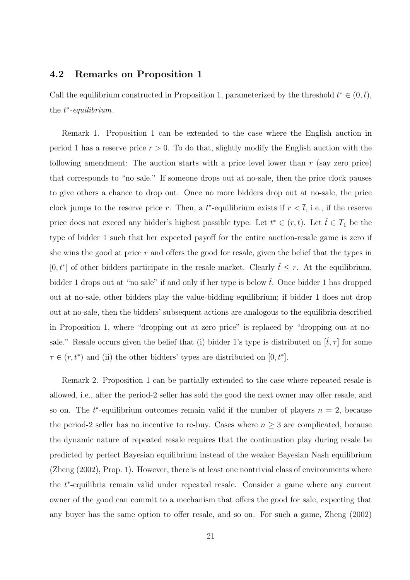#### 4.2 Remarks on Proposition 1

Call the equilibrium constructed in Proposition 1, parameterized by the threshold  $t^* \in (0, \bar{t})$ , the  $t^*$ -equilibrium.

Remark 1. Proposition 1 can be extended to the case where the English auction in period 1 has a reserve price  $r > 0$ . To do that, slightly modify the English auction with the following amendment: The auction starts with a price level lower than  $r$  (say zero price) that corresponds to "no sale." If someone drops out at no-sale, then the price clock pauses to give others a chance to drop out. Once no more bidders drop out at no-sale, the price clock jumps to the reserve price r. Then, a  $t^*$ -equilibrium exists if  $r < \overline{t}$ , i.e., if the reserve price does not exceed any bidder's highest possible type. Let  $t^* \in (r, \overline{t})$ . Let  $\hat{t} \in T_1$  be the type of bidder 1 such that her expected payoff for the entire auction-resale game is zero if she wins the good at price  $r$  and offers the good for resale, given the belief that the types in  $[0, t^*]$  of other bidders participate in the resale market. Clearly  $\hat{t} \leq r$ . At the equilibrium, bidder 1 drops out at "no sale" if and only if her type is below  $\hat{t}$ . Once bidder 1 has dropped out at no-sale, other bidders play the value-bidding equilibrium; if bidder 1 does not drop out at no-sale, then the bidders' subsequent actions are analogous to the equilibria described in Proposition 1, where "dropping out at zero price" is replaced by "dropping out at nosale." Resale occurs given the belief that (i) bidder 1's type is distributed on  $[\hat{t}, \tau]$  for some  $\tau \in (r, t^*)$  and (ii) the other bidders' types are distributed on [0,  $t^*$ ].

Remark 2. Proposition 1 can be partially extended to the case where repeated resale is allowed, i.e., after the period-2 seller has sold the good the next owner may offer resale, and so on. The  $t^*$ -equilibrium outcomes remain valid if the number of players  $n = 2$ , because the period-2 seller has no incentive to re-buy. Cases where  $n \geq 3$  are complicated, because the dynamic nature of repeated resale requires that the continuation play during resale be predicted by perfect Bayesian equilibrium instead of the weaker Bayesian Nash equilibrium (Zheng (2002), Prop. 1). However, there is at least one nontrivial class of environments where the t ∗ -equilibria remain valid under repeated resale. Consider a game where any current owner of the good can commit to a mechanism that offers the good for sale, expecting that any buyer has the same option to offer resale, and so on. For such a game, Zheng (2002)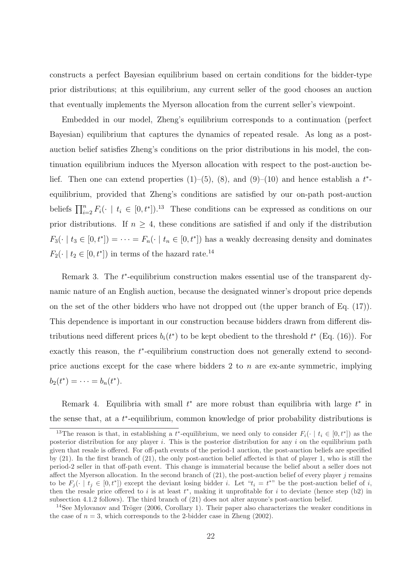constructs a perfect Bayesian equilibrium based on certain conditions for the bidder-type prior distributions; at this equilibrium, any current seller of the good chooses an auction that eventually implements the Myerson allocation from the current seller's viewpoint.

Embedded in our model, Zheng's equilibrium corresponds to a continuation (perfect Bayesian) equilibrium that captures the dynamics of repeated resale. As long as a postauction belief satisfies Zheng's conditions on the prior distributions in his model, the continuation equilibrium induces the Myerson allocation with respect to the post-auction belief. Then one can extend properties  $(1)$ – $(5)$ ,  $(8)$ , and  $(9)$ – $(10)$  and hence establish a  $t^*$ equilibrium, provided that Zheng's conditions are satisfied by our on-path post-auction beliefs  $\prod_{i=2}^{n} F_i(\cdot \mid t_i \in [0, t^*])$ .<sup>13</sup> These conditions can be expressed as conditions on our prior distributions. If  $n \geq 4$ , these conditions are satisfied if and only if the distribution  $F_3(\cdot \mid t_3 \in [0, t^*]) = \cdots = F_n(\cdot \mid t_n \in [0, t^*])$  has a weakly decreasing density and dominates  $F_2(\cdot \mid t_2 \in [0, t^*])$  in terms of the hazard rate.<sup>14</sup>

Remark 3. The  $t^*$ -equilibrium construction makes essential use of the transparent dynamic nature of an English auction, because the designated winner's dropout price depends on the set of the other bidders who have not dropped out (the upper branch of Eq. (17)). This dependence is important in our construction because bidders drawn from different distributions need different prices  $b_i(t^*)$  to be kept obedient to the threshold  $t^*$  (Eq. (16)). For exactly this reason, the  $t^*$ -equilibrium construction does not generally extend to secondprice auctions except for the case where bidders 2 to  $n$  are ex-ante symmetric, implying  $b_2(t^*) = \cdots = b_n(t^*).$ 

Remark 4. Equilibria with small  $t^*$  are more robust than equilibria with large  $t^*$  in the sense that, at a  $t^*$ -equilibrium, common knowledge of prior probability distributions is

<sup>&</sup>lt;sup>13</sup>The reason is that, in establishing a t<sup>\*</sup>-equilibrium, we need only to consider  $F_i(\cdot \mid t_i \in [0, t^*])$  as the posterior distribution for any player i. This is the posterior distribution for any i on the equilibrium path given that resale is offered. For off-path events of the period-1 auction, the post-auction beliefs are specified by (21). In the first branch of (21), the only post-auction belief affected is that of player 1, who is still the period-2 seller in that off-path event. This change is immaterial because the belief about a seller does not affect the Myerson allocation. In the second branch of  $(21)$ , the post-auction belief of every player j remains to be  $F_j(\cdot \mid t_j \in [0, t^*])$  except the deviant losing bidder *i*. Let " $t_i = t^{**}$ " be the post-auction belief of *i*, then the resale price offered to i is at least  $t^*$ , making it unprofitable for i to deviate (hence step (b2) in subsection 4.1.2 follows). The third branch of (21) does not alter anyone's post-auction belief.

<sup>&</sup>lt;sup>14</sup>See Mylovanov and Tröger (2006, Corollary 1). Their paper also characterizes the weaker conditions in the case of  $n = 3$ , which corresponds to the 2-bidder case in Zheng (2002).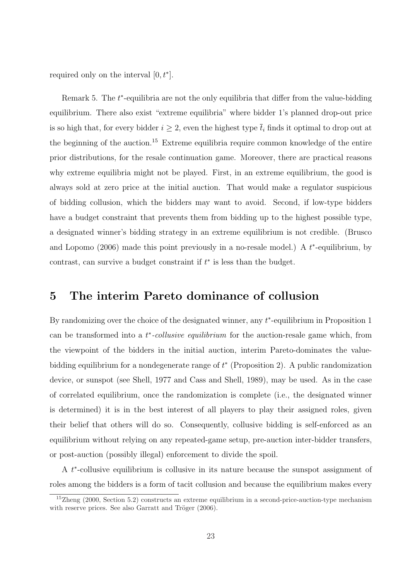required only on the interval  $[0, t^*]$ .

Remark 5. The  $t^*$ -equilibria are not the only equilibria that differ from the value-bidding equilibrium. There also exist "extreme equilibria" where bidder 1's planned drop-out price is so high that, for every bidder  $i \geq 2$ , even the highest type  $\bar{t}_i$  finds it optimal to drop out at the beginning of the auction.<sup>15</sup> Extreme equilibria require common knowledge of the entire prior distributions, for the resale continuation game. Moreover, there are practical reasons why extreme equilibria might not be played. First, in an extreme equilibrium, the good is always sold at zero price at the initial auction. That would make a regulator suspicious of bidding collusion, which the bidders may want to avoid. Second, if low-type bidders have a budget constraint that prevents them from bidding up to the highest possible type, a designated winner's bidding strategy in an extreme equilibrium is not credible. (Brusco and Lopomo  $(2006)$  made this point previously in a no-resale model.) A  $t^*$ -equilibrium, by contrast, can survive a budget constraint if  $t^*$  is less than the budget.

## 5 The interim Pareto dominance of collusion

By randomizing over the choice of the designated winner, any  $t^*$ -equilibrium in Proposition 1 can be transformed into a  $t^*$ -collusive equilibrium for the auction-resale game which, from the viewpoint of the bidders in the initial auction, interim Pareto-dominates the valuebidding equilibrium for a nondegenerate range of  $t^*$  (Proposition 2). A public randomization device, or sunspot (see Shell, 1977 and Cass and Shell, 1989), may be used. As in the case of correlated equilibrium, once the randomization is complete (i.e., the designated winner is determined) it is in the best interest of all players to play their assigned roles, given their belief that others will do so. Consequently, collusive bidding is self-enforced as an equilibrium without relying on any repeated-game setup, pre-auction inter-bidder transfers, or post-auction (possibly illegal) enforcement to divide the spoil.

A  $t^*$ -collusive equilibrium is collusive in its nature because the sunspot assignment of roles among the bidders is a form of tacit collusion and because the equilibrium makes every

 $15Z$ heng (2000, Section 5.2) constructs an extreme equilibrium in a second-price-auction-type mechanism with reserve prices. See also Garratt and Tröger  $(2006)$ .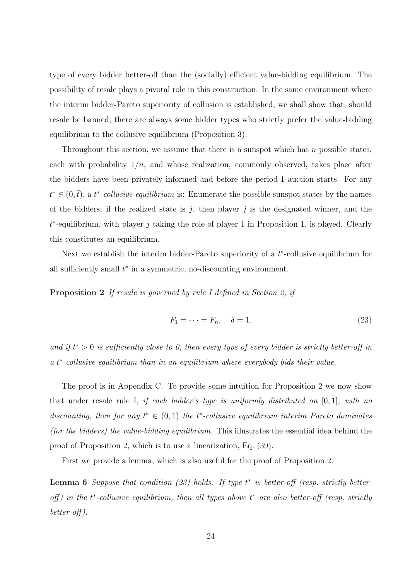type of every bidder better-off than the (socially) efficient value-bidding equilibrium. The possibility of resale plays a pivotal role in this construction. In the same environment where the interim bidder-Pareto superiority of collusion is established, we shall show that, should resale be banned, there are always some bidder types who strictly prefer the value-bidding equilibrium to the collusive equilibrium (Proposition 3).

Throughout this section, we assume that there is a sunspot which has  $n$  possible states, each with probability  $1/n$ , and whose realization, commonly observed, takes place after the bidders have been privately informed and before the period-1 auction starts. For any  $t^* \in (0, \bar{t})$ , a  $t^*$ -collusive equilibrium is: Enumerate the possible sunspot states by the names of the bidders; if the realized state is  $j$ , then player  $j$  is the designated winner, and the  $t^*$ -equilibrium, with player j taking the role of player 1 in Proposition 1, is played. Clearly this constitutes an equilibrium.

Next we establish the interim bidder-Pareto superiority of a  $t^*$ -collusive equilibrium for all sufficiently small  $t^*$  in a symmetric, no-discounting environment.

Proposition 2 If resale is governed by rule I defined in Section 2, if

$$
F_1 = \dots = F_n, \quad \delta = 1,\tag{23}
$$

and if  $t^* > 0$  is sufficiently close to 0, then every type of every bidder is strictly better-off in a t<sup>\*</sup>-collusive equilibrium than in an equilibrium where everybody bids their value.

The proof is in Appendix C. To provide some intuition for Proposition 2 we now show that under resale rule I, if each bidder's type is uniformly distributed on [0, 1], with no discounting, then for any  $t^* \in (0,1)$  the  $t^*$ -collusive equilibrium interim Pareto dominates (for the bidders) the value-bidding equilibrium. This illustrates the essential idea behind the proof of Proposition 2, which is to use a linearization, Eq. (39).

First we provide a lemma, which is also useful for the proof of Proposition 2.

**Lemma 6** Suppose that condition (23) holds. If type  $t^*$  is better-off (resp. strictly betteroff) in the  $t^*$ -collusive equilibrium, then all types above  $t^*$  are also better-off (resp. strictly better-off ).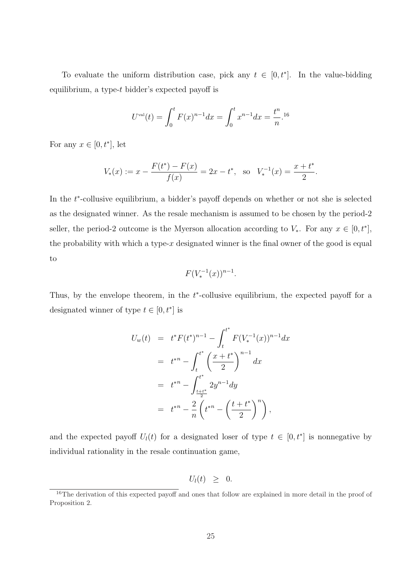To evaluate the uniform distribution case, pick any  $t \in [0, t^*]$ . In the value-bidding equilibrium, a type-t bidder's expected payoff is

$$
U^{\text{val}}(t) = \int_0^t F(x)^{n-1} dx = \int_0^t x^{n-1} dx = \frac{t^n}{n}.
$$
<sup>16</sup>

For any  $x \in [0, t^*]$ , let

$$
V_*(x) := x - \frac{F(t^*) - F(x)}{f(x)} = 2x - t^*, \text{ so } V_*^{-1}(x) = \frac{x + t^*}{2}.
$$

In the  $t^*$ -collusive equilibrium, a bidder's payoff depends on whether or not she is selected as the designated winner. As the resale mechanism is assumed to be chosen by the period-2 seller, the period-2 outcome is the Myerson allocation according to  $V_*$ . For any  $x \in [0, t^*]$ , the probability with which a type-x designated winner is the final owner of the good is equal to

$$
F(V_*^{-1}(x))^{n-1}.
$$

Thus, by the envelope theorem, in the  $t^*$ -collusive equilibrium, the expected payoff for a designated winner of type  $t \in [0, t^*]$  is

$$
U_w(t) = t^* F(t^*)^{n-1} - \int_t^{t^*} F(V_*^{-1}(x))^{n-1} dx
$$
  
=  $t^{*n} - \int_t^{t^*} \left(\frac{x + t^*}{2}\right)^{n-1} dx$   
=  $t^{*n} - \int_{\frac{t + t^*}{2}}^{t^*} 2y^{n-1} dy$   
=  $t^{*n} - \frac{2}{n} \left(t^{*n} - \left(\frac{t + t^*}{2}\right)^n\right),$ 

and the expected payoff  $U_l(t)$  for a designated loser of type  $t \in [0, t^*]$  is nonnegative by individual rationality in the resale continuation game,

$$
U_l(t) \geq 0.
$$

<sup>&</sup>lt;sup>16</sup>The derivation of this expected payoff and ones that follow are explained in more detail in the proof of Proposition 2.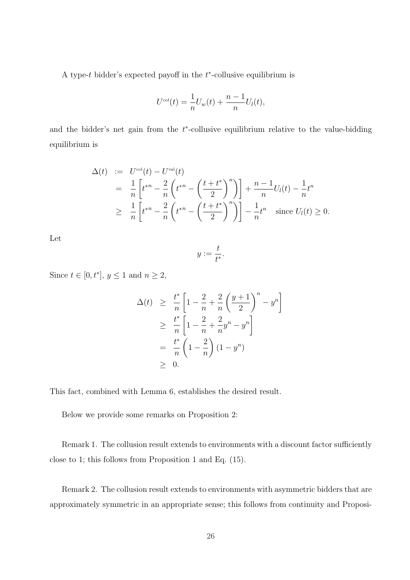A type- $t$  bidder's expected payoff in the  $t^*$ -collusive equilibrium is

$$
U^{\text{col}}(t) = \frac{1}{n}U_w(t) + \frac{n-1}{n}U_l(t),
$$

and the bidder's net gain from the  $t^*$ -collusive equilibrium relative to the value-bidding equilibrium is

$$
\Delta(t) := U^{\text{col}}(t) - U^{\text{val}}(t)
$$
\n
$$
= \frac{1}{n} \left[ t^{*n} - \frac{2}{n} \left( t^{*n} - \left( \frac{t+t^*}{2} \right)^n \right) \right] + \frac{n-1}{n} U_l(t) - \frac{1}{n} t^n
$$
\n
$$
\geq \frac{1}{n} \left[ t^{*n} - \frac{2}{n} \left( t^{*n} - \left( \frac{t+t^*}{2} \right)^n \right) \right] - \frac{1}{n} t^n \quad \text{since } U_l(t) \geq 0.
$$

Let

$$
y:=\frac{t}{t^*}.
$$

Since  $t \in [0, t^*], y \leq 1$  and  $n \geq 2$ ,

$$
\Delta(t) \geq \frac{t^*}{n} \left[ 1 - \frac{2}{n} + \frac{2}{n} \left( \frac{y+1}{2} \right)^n - y^n \right]
$$
  
\n
$$
\geq \frac{t^*}{n} \left[ 1 - \frac{2}{n} + \frac{2}{n} y^n - y^n \right]
$$
  
\n
$$
= \frac{t^*}{n} \left( 1 - \frac{2}{n} \right) (1 - y^n)
$$
  
\n
$$
\geq 0.
$$

This fact, combined with Lemma 6, establishes the desired result.

Below we provide some remarks on Proposition 2:

Remark 1. The collusion result extends to environments with a discount factor sufficiently close to 1; this follows from Proposition 1 and Eq. (15).

Remark 2. The collusion result extends to environments with asymmetric bidders that are approximately symmetric in an appropriate sense; this follows from continuity and Proposi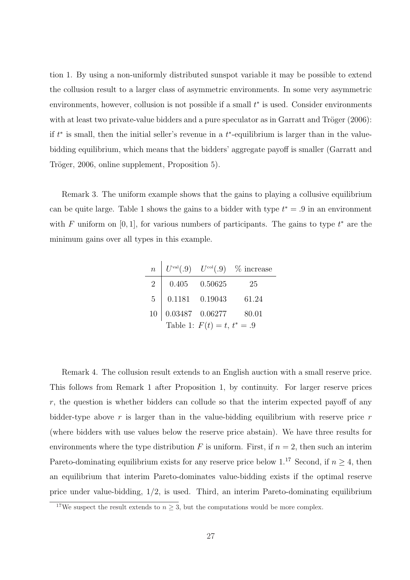tion 1. By using a non-uniformly distributed sunspot variable it may be possible to extend the collusion result to a larger class of asymmetric environments. In some very asymmetric environments, however, collusion is not possible if a small  $t^*$  is used. Consider environments with at least two private-value bidders and a pure speculator as in Garratt and Tröger  $(2006)$ : if  $t^*$  is small, then the initial seller's revenue in a  $t^*$ -equilibrium is larger than in the valuebidding equilibrium, which means that the bidders' aggregate payoff is smaller (Garratt and Tröger, 2006, online supplement, Proposition 5).

Remark 3. The uniform example shows that the gains to playing a collusive equilibrium can be quite large. Table 1 shows the gains to a bidder with type  $t^* = .9$  in an environment with F uniform on [0, 1], for various numbers of participants. The gains to type  $t^*$  are the minimum gains over all types in this example.

| $\overline{n}$ |  |                    | $U^{\text{val}}(.9)$ $U^{\text{col}}(.9)$ % increase |
|----------------|--|--------------------|------------------------------------------------------|
| $2^{\circ}$    |  | $0.405$ $0.50625$  | 25                                                   |
| 5 <sup>5</sup> |  | $0.1181$ $0.19043$ | 61.24                                                |
| 10             |  |                    |                                                      |
|                |  |                    |                                                      |

Remark 4. The collusion result extends to an English auction with a small reserve price. This follows from Remark 1 after Proposition 1, by continuity. For larger reserve prices  $r$ , the question is whether bidders can collude so that the interim expected payoff of any bidder-type above r is larger than in the value-bidding equilibrium with reserve price r (where bidders with use values below the reserve price abstain). We have three results for environments where the type distribution F is uniform. First, if  $n = 2$ , then such an interim Pareto-dominating equilibrium exists for any reserve price below 1.<sup>17</sup> Second, if  $n \geq 4$ , then an equilibrium that interim Pareto-dominates value-bidding exists if the optimal reserve price under value-bidding, 1/2, is used. Third, an interim Pareto-dominating equilibrium

<sup>&</sup>lt;sup>17</sup>We suspect the result extends to  $n \geq 3$ , but the computations would be more complex.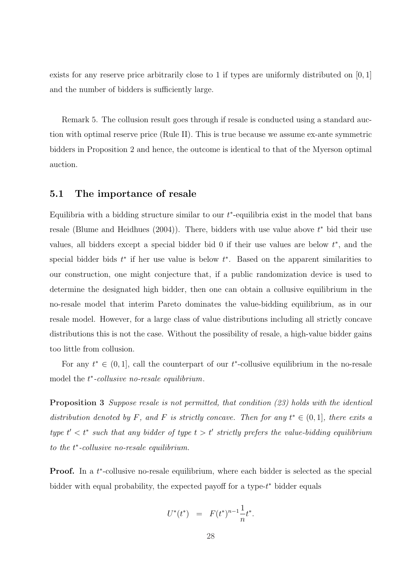exists for any reserve price arbitrarily close to 1 if types are uniformly distributed on  $[0, 1]$ and the number of bidders is sufficiently large.

Remark 5. The collusion result goes through if resale is conducted using a standard auction with optimal reserve price (Rule II). This is true because we assume ex-ante symmetric bidders in Proposition 2 and hence, the outcome is identical to that of the Myerson optimal auction.

#### 5.1 The importance of resale

Equilibria with a bidding structure similar to our  $t^*$ -equilibria exist in the model that bans resale (Blume and Heidhues  $(2004)$ ). There, bidders with use value above  $t^*$  bid their use values, all bidders except a special bidder bid  $0$  if their use values are below  $t^*$ , and the special bidder bids  $t^*$  if her use value is below  $t^*$ . Based on the apparent similarities to our construction, one might conjecture that, if a public randomization device is used to determine the designated high bidder, then one can obtain a collusive equilibrium in the no-resale model that interim Pareto dominates the value-bidding equilibrium, as in our resale model. However, for a large class of value distributions including all strictly concave distributions this is not the case. Without the possibility of resale, a high-value bidder gains too little from collusion.

For any  $t^* \in (0,1]$ , call the counterpart of our  $t^*$ -collusive equilibrium in the no-resale model the  $t^*$ -collusive no-resale equilibrium.

Proposition 3 Suppose resale is not permitted, that condition (23) holds with the identical distribution denoted by F, and F is strictly concave. Then for any  $t^* \in (0,1]$ , there exits a type  $t' < t^*$  such that any bidder of type  $t > t'$  strictly prefers the value-bidding equilibrium to the  $t^*$ -collusive no-resale equilibrium.

**Proof.** In a  $t^*$ -collusive no-resale equilibrium, where each bidder is selected as the special bidder with equal probability, the expected payoff for a type-t<sup>\*</sup> bidder equals

$$
U^*(t^*) = F(t^*)^{n-1} \frac{1}{n} t^*.
$$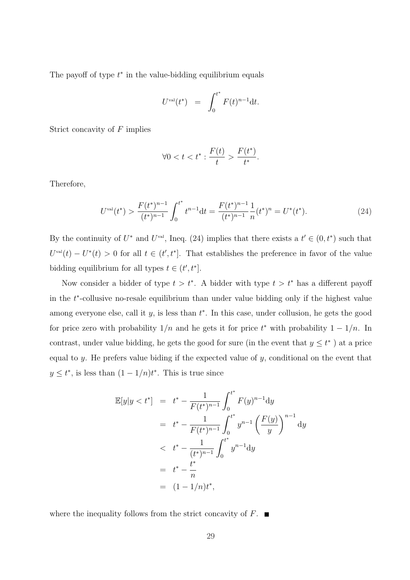The payoff of type  $t^*$  in the value-bidding equilibrium equals

$$
U^{\text{val}}(t^*) = \int_0^{t^*} F(t)^{n-1} dt.
$$

Strict concavity of F implies

$$
\forall 0 < t < t^* : \frac{F(t)}{t} > \frac{F(t^*)}{t^*}.
$$

Therefore,

$$
U^{\text{val}}(t^*) > \frac{F(t^*)^{n-1}}{(t^*)^{n-1}} \int_0^{t^*} t^{n-1} dt = \frac{F(t^*)^{n-1}}{(t^*)^{n-1}} \frac{1}{n} (t^*)^n = U^*(t^*). \tag{24}
$$

By the continuity of  $U^*$  and  $U^{\text{val}}$ , Ineq. (24) implies that there exists a  $t' \in (0, t^*)$  such that  $U^{\text{val}}(t) - U^*(t) > 0$  for all  $t \in (t', t^*]$ . That establishes the preference in favor of the value bidding equilibrium for all types  $t \in (t', t^*].$ 

Now consider a bidder of type  $t > t^*$ . A bidder with type  $t > t^*$  has a different payoff in the  $t^*$ -collusive no-resale equilibrium than under value bidding only if the highest value among everyone else, call it  $y$ , is less than  $t^*$ . In this case, under collusion, he gets the good for price zero with probability  $1/n$  and he gets it for price  $t^*$  with probability  $1-1/n$ . In contrast, under value bidding, he gets the good for sure (in the event that  $y \leq t^*$ ) at a price equal to  $y$ . He prefers value biding if the expected value of  $y$ , conditional on the event that  $y \le t^*$ , is less than  $(1 - 1/n)t^*$ . This is true since

$$
\mathbb{E}[y|y < t^*] = t^* - \frac{1}{F(t^*)^{n-1}} \int_0^{t^*} F(y)^{n-1} dy
$$
  
\n
$$
= t^* - \frac{1}{F(t^*)^{n-1}} \int_0^{t^*} y^{n-1} \left(\frac{F(y)}{y}\right)^{n-1} dy
$$
  
\n
$$
< t^* - \frac{1}{(t^*)^{n-1}} \int_0^{t^*} y^{n-1} dy
$$
  
\n
$$
= t^* - \frac{t^*}{n}
$$
  
\n
$$
= (1 - 1/n)t^*,
$$

where the inequality follows from the strict concavity of  $F$ .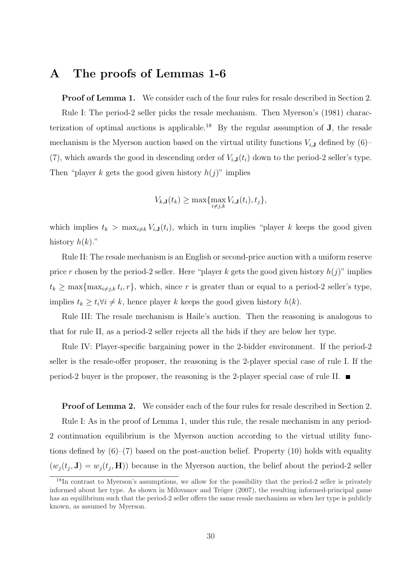## A The proofs of Lemmas 1-6

**Proof of Lemma 1.** We consider each of the four rules for resale described in Section 2. Rule I: The period-2 seller picks the resale mechanism. Then Myerson's (1981) characterization of optimal auctions is applicable.<sup>18</sup> By the regular assumption of  $J$ , the resale mechanism is the Myerson auction based on the virtual utility functions  $V_{i,J}$  defined by  $(6)$ – (7), which awards the good in descending order of  $V_{i,J}(t_i)$  down to the period-2 seller's type. Then "player k gets the good given history  $h(j)$ " implies

$$
V_{k,\mathbf{J}}(t_k) \ge \max\{\max_{i \ne j,k} V_{i,\mathbf{J}}(t_i), t_j\},\
$$

which implies  $t_k > \max_{i \neq k} V_{i,\mathbf{J}}(t_i)$ , which in turn implies "player k keeps the good given history  $h(k)$ ."

Rule II: The resale mechanism is an English or second-price auction with a uniform reserve price r chosen by the period-2 seller. Here "player k gets the good given history  $h(j)$ " implies  $t_k \geq \max\{\max_{i \neq j,k} t_i, r\}$ , which, since r is greater than or equal to a period-2 seller's type, implies  $t_k \geq t_i \forall i \neq k$ , hence player k keeps the good given history  $h(k)$ .

Rule III: The resale mechanism is Haile's auction. Then the reasoning is analogous to that for rule II, as a period-2 seller rejects all the bids if they are below her type.

Rule IV: Player-specific bargaining power in the 2-bidder environment. If the period-2 seller is the resale-offer proposer, the reasoning is the 2-player special case of rule I. If the period-2 buyer is the proposer, the reasoning is the 2-player special case of rule II.  $\blacksquare$ 

**Proof of Lemma 2.** We consider each of the four rules for resale described in Section 2. Rule I: As in the proof of Lemma 1, under this rule, the resale mechanism in any period-2 continuation equilibrium is the Myerson auction according to the virtual utility functions defined by  $(6)$ – $(7)$  based on the post-auction belief. Property  $(10)$  holds with equality  $(w_j(t_j, \mathbf{J}) = w_j(t_j, \mathbf{H}))$  because in the Myerson auction, the belief about the period-2 seller

<sup>&</sup>lt;sup>18</sup>In contrast to Myerson's assumptions, we allow for the possibility that the period-2 seller is privately informed about her type. As shown in Milovanov and Tröger  $(2007)$ , the resulting informed-principal game has an equilibrium such that the period-2 seller offers the same resale mechanism as when her type is publicly known, as assumed by Myerson.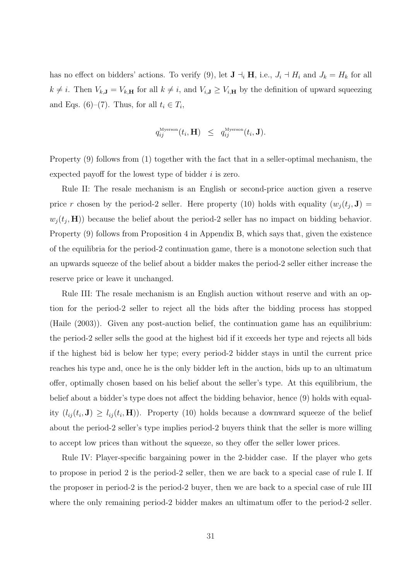has no effect on bidders' actions. To verify (9), let  $\mathbf{J} \dashv_i \mathbf{H}$ , i.e.,  $J_i \dashv H_i$  and  $J_k = H_k$  for all  $k \neq i$ . Then  $V_{k,\mathbf{J}} = V_{k,\mathbf{H}}$  for all  $k \neq i$ , and  $V_{i,\mathbf{J}} \geq V_{i,\mathbf{H}}$  by the definition of upward squeezing and Eqs. (6)–(7). Thus, for all  $t_i \in T_i$ ,

$$
q_{ij}^{\text{Myerson}}(t_i, \mathbf{H}) \ \leq \ q_{ij}^{\text{Myerson}}(t_i, \mathbf{J}).
$$

Property (9) follows from (1) together with the fact that in a seller-optimal mechanism, the expected payoff for the lowest type of bidder i is zero.

Rule II: The resale mechanism is an English or second-price auction given a reserve price r chosen by the period-2 seller. Here property (10) holds with equality  $(w_j(t_j, \mathbf{J}) =$  $w_j(t_j, \mathbf{H})$  because the belief about the period-2 seller has no impact on bidding behavior. Property (9) follows from Proposition 4 in Appendix B, which says that, given the existence of the equilibria for the period-2 continuation game, there is a monotone selection such that an upwards squeeze of the belief about a bidder makes the period-2 seller either increase the reserve price or leave it unchanged.

Rule III: The resale mechanism is an English auction without reserve and with an option for the period-2 seller to reject all the bids after the bidding process has stopped (Haile (2003)). Given any post-auction belief, the continuation game has an equilibrium: the period-2 seller sells the good at the highest bid if it exceeds her type and rejects all bids if the highest bid is below her type; every period-2 bidder stays in until the current price reaches his type and, once he is the only bidder left in the auction, bids up to an ultimatum offer, optimally chosen based on his belief about the seller's type. At this equilibrium, the belief about a bidder's type does not affect the bidding behavior, hence (9) holds with equality  $(l_{ij}(t_i, \mathbf{J}) \geq l_{ij}(t_i, \mathbf{H}))$ . Property (10) holds because a downward squeeze of the belief about the period-2 seller's type implies period-2 buyers think that the seller is more willing to accept low prices than without the squeeze, so they offer the seller lower prices.

Rule IV: Player-specific bargaining power in the 2-bidder case. If the player who gets to propose in period 2 is the period-2 seller, then we are back to a special case of rule I. If the proposer in period-2 is the period-2 buyer, then we are back to a special case of rule III where the only remaining period-2 bidder makes an ultimatum offer to the period-2 seller.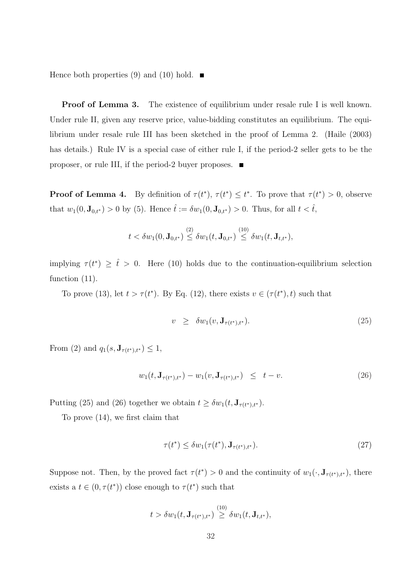Hence both properties (9) and (10) hold.  $\blacksquare$ 

**Proof of Lemma 3.** The existence of equilibrium under resale rule I is well known. Under rule II, given any reserve price, value-bidding constitutes an equilibrium. The equilibrium under resale rule III has been sketched in the proof of Lemma 2. (Haile (2003) has details.) Rule IV is a special case of either rule I, if the period-2 seller gets to be the proposer, or rule III, if the period-2 buyer proposes.

**Proof of Lemma 4.** By definition of  $\tau(t^*)$ ,  $\tau(t^*) \leq t^*$ . To prove that  $\tau(t^*) > 0$ , observe that  $w_1(0, \mathbf{J}_{0,t^*}) > 0$  by (5). Hence  $\hat{t} := \delta w_1(0, \mathbf{J}_{0,t^*}) > 0$ . Thus, for all  $t < \hat{t}$ ,

$$
t<\delta w_1(0,\mathbf{J}_{0,t^*})\overset{(2)}{\leq} \delta w_1(t,\mathbf{J}_{0,t^*})\overset{(10)}{\leq} \delta w_1(t,\mathbf{J}_{t,t^*}),
$$

implying  $\tau(t^*) \geq \hat{t} > 0$ . Here (10) holds due to the continuation-equilibrium selection function  $(11)$ .

To prove (13), let  $t > \tau(t^*)$ . By Eq. (12), there exists  $v \in (\tau(t^*), t)$  such that

$$
v \geq \delta w_1(v, \mathbf{J}_{\tau(t^*), t^*}). \tag{25}
$$

From (2) and  $q_1(s, \mathbf{J}_{\tau(t^*),t^*}) \leq 1$ ,

$$
w_1(t, \mathbf{J}_{\tau(t^*), t^*}) - w_1(v, \mathbf{J}_{\tau(t^*), t^*}) \le t - v.
$$
\n(26)

Putting (25) and (26) together we obtain  $t \geq \delta w_1(t, \mathbf{J}_{\tau(t^*),t^*})$ .

To prove (14), we first claim that

$$
\tau(t^*) \le \delta w_1(\tau(t^*), \mathbf{J}_{\tau(t^*), t^*}).\tag{27}
$$

Suppose not. Then, by the proved fact  $\tau(t^*) > 0$  and the continuity of  $w_1(\cdot, \mathbf{J}_{\tau(t^*),t^*})$ , there exists a  $t \in (0, \tau(t^*))$  close enough to  $\tau(t^*)$  such that

$$
t > \delta w_1(t, \mathbf{J}_{\tau(t^*),t^*}) \overset{(10)}{\geq} \delta w_1(t, \mathbf{J}_{t,t^*}),
$$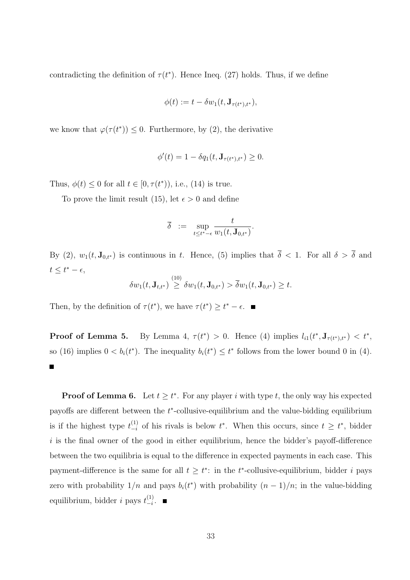contradicting the definition of  $\tau(t^*)$ . Hence Ineq. (27) holds. Thus, if we define

$$
\phi(t) := t - \delta w_1(t, \mathbf{J}_{\tau(t^*), t^*}),
$$

we know that  $\varphi(\tau(t^*)) \leq 0$ . Furthermore, by (2), the derivative

$$
\phi'(t) = 1 - \delta q_1(t, \mathbf{J}_{\tau(t^*), t^*}) \ge 0.
$$

Thus,  $\phi(t) \leq 0$  for all  $t \in [0, \tau(t^*)),$  i.e., (14) is true.

To prove the limit result (15), let  $\epsilon > 0$  and define

$$
\overline{\delta} \ := \ \sup_{t \leq t^*-\epsilon} \frac{t}{w_1(t,\mathbf{J}_{0,t^*})}.
$$

By (2),  $w_1(t, \mathbf{J}_{0,t^*})$  is continuous in t. Hence, (5) implies that  $\overline{\delta} < 1$ . For all  $\delta > \overline{\delta}$  and  $t \leq t^* - \epsilon$ 

$$
\delta w_1(t, \mathbf{J}_{t,t^*}) \overset{(10)}{\geq} \delta w_1(t, \mathbf{J}_{0,t^*}) > \overline{\delta} w_1(t, \mathbf{J}_{0,t^*}) \geq t.
$$

Then, by the definition of  $\tau(t^*)$ , we have  $\tau(t^*) \geq t^* - \epsilon$ .

\*) > 0. Hence (4) implies  $l_{i1}(t^*, \mathbf{J}_{\tau(t^*), t^*}) < t^*$ , Proof of Lemma 5. so (16) implies  $0 < b_i(t^*)$ . The inequality  $b_i(t^*) \leq t^*$  follows from the lower bound 0 in (4). П

**Proof of Lemma 6.** Let  $t \geq t^*$ . For any player i with type t, the only way his expected payoffs are different between the t<sup>\*</sup>-collusive-equilibrium and the value-bidding equilibrium is if the highest type  $t_{-i}^{(1)}$  $\binom{1}{i}$  of his rivals is below  $t^*$ . When this occurs, since  $t \geq t^*$ , bidder  $i$  is the final owner of the good in either equilibrium, hence the bidder's payoff-difference between the two equilibria is equal to the difference in expected payments in each case. This payment-difference is the same for all  $t \geq t^*$ : in the  $t^*$ -collusive-equilibrium, bidder i pays zero with probability  $1/n$  and pays  $b_i(t^*)$  with probability  $(n-1)/n$ ; in the value-bidding equilibrium, bidder *i* pays  $t_{-i}^{(1)}$  $\frac{(1)}{-i}$ .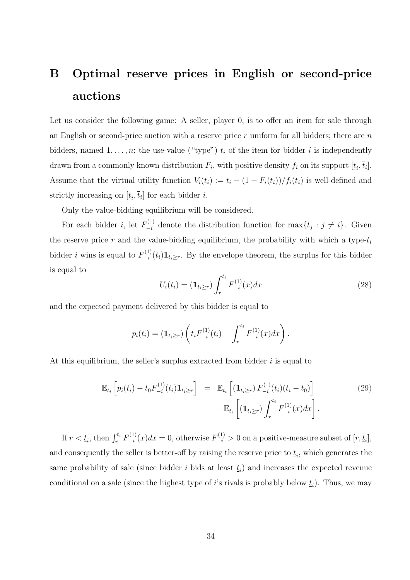# B Optimal reserve prices in English or second-price auctions

Let us consider the following game: A seller, player 0, is to offer an item for sale through an English or second-price auction with a reserve price r uniform for all bidders; there are n bidders, named  $1, \ldots, n$ ; the use-value ("type")  $t_i$  of the item for bidder i is independently drawn from a commonly known distribution  $F_i$ , with positive density  $f_i$  on its support  $[\underline{t}_i, \overline{t}_i]$ . Assume that the virtual utility function  $V_i(t_i) := t_i - (1 - F_i(t_i))/f_i(t_i)$  is well-defined and strictly increasing on  $[\underline{t}_i, \overline{t}_i]$  for each bidder *i*.

Only the value-bidding equilibrium will be considered.

For each bidder *i*, let  $F_{-i}^{(1)}$  denote the distribution function for  $\max\{t_j : j \neq i\}$ . Given the reserve price  $r$  and the value-bidding equilibrium, the probability with which a type- $t_i$ bidder *i* wins is equal to  $F_{-i}^{(1)}$  $\sum_{i=1}^{(1)}(t_i) \mathbf{1}_{t_i \geq r}$ . By the envelope theorem, the surplus for this bidder is equal to  $rt_i$ 

$$
U_i(t_i) = (\mathbf{1}_{t_i \ge r}) \int_r^{t_i} F_{-i}^{(1)}(x) dx
$$
\n(28)

and the expected payment delivered by this bidder is equal to

$$
p_i(t_i) = (\mathbf{1}_{t_i \ge r}) \left( t_i F_{-i}^{(1)}(t_i) - \int_r^{t_i} F_{-i}^{(1)}(x) dx \right).
$$

At this equilibrium, the seller's surplus extracted from bidder  $i$  is equal to

$$
\mathbb{E}_{t_i} \left[ p_i(t_i) - t_0 F_{-i}^{(1)}(t_i) \mathbf{1}_{t_i \ge r} \right] = \mathbb{E}_{t_i} \left[ (\mathbf{1}_{t_i \ge r}) F_{-i}^{(1)}(t_i)(t_i - t_0) \right] - \mathbb{E}_{t_i} \left[ (\mathbf{1}_{t_i \ge r}) \int_r^{t_i} F_{-i}^{(1)}(x) dx \right]. \tag{29}
$$

If  $r < t_i$ , then  $\int_r^{t_i} F_{-i}^{(1)}$  $\sum_{i=1}^{(1)}(x)dx=0$ , otherwise  $F_{-i}^{(1)} > 0$  on a positive-measure subset of  $[r, \underline{t}_i]$ , and consequently the seller is better-off by raising the reserve price to  $\underline{t}_i$ , which generates the same probability of sale (since bidder i bids at least  $\underline{t}_i$ ) and increases the expected revenue conditional on a sale (since the highest type of *i*'s rivals is probably below  $\underline{t}_i$ ). Thus, we may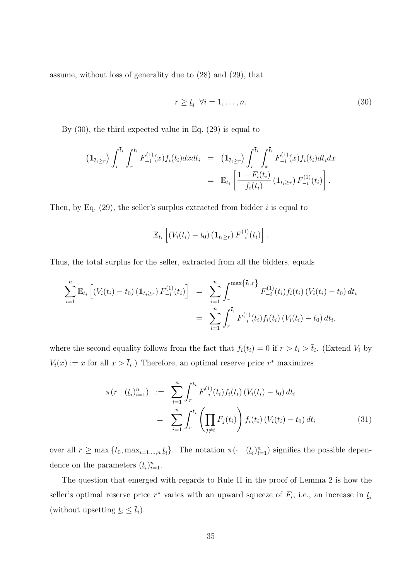assume, without loss of generality due to (28) and (29), that

$$
r \ge \underline{t}_i \quad \forall i = 1, \dots, n. \tag{30}
$$

By (30), the third expected value in Eq. (29) is equal to

$$
\begin{array}{rcl}\n\left(\mathbf{1}_{\bar{t}_{i}\geq r}\right) \int_{r}^{\bar{t}_{i}} \int_{r}^{t_{i}} F_{-i}^{(1)}(x) f_{i}(t_{i}) dx dt_{i} & = & \left(\mathbf{1}_{\bar{t}_{i}\geq r}\right) \int_{r}^{\bar{t}_{i}} \int_{x}^{\bar{t}_{i}} F_{-i}^{(1)}(x) f_{i}(t_{i}) dt_{i} dx \\
& = & \mathbb{E}_{t_{i}} \left[ \frac{1 - F_{i}(t_{i})}{f_{i}(t_{i})} \left(\mathbf{1}_{t_{i}\geq r}\right) F_{-i}^{(1)}(t_{i}) \right].\n\end{array}
$$

Then, by Eq.  $(29)$ , the seller's surplus extracted from bidder i is equal to

$$
\mathbb{E}_{t_i}\left[ (V_i(t_i) - t_0) \left( \mathbf{1}_{t_i \geq r} \right) F_{-i}^{(1)}(t_i) \right].
$$

Thus, the total surplus for the seller, extracted from all the bidders, equals

$$
\sum_{i=1}^{n} \mathbb{E}_{t_i} \left[ \left( V_i(t_i) - t_0 \right) \left( \mathbf{1}_{t_i \ge r} \right) F_{-i}^{(1)}(t_i) \right] = \sum_{i=1}^{n} \int_{r}^{\max \{ \bar{t}_i, r \}} F_{-i}^{(1)}(t_i) f_i(t_i) \left( V_i(t_i) - t_0 \right) dt_i
$$

$$
= \sum_{i=1}^{n} \int_{r}^{\bar{t}_i} F_{-i}^{(1)}(t_i) f_i(t_i) \left( V_i(t_i) - t_0 \right) dt_i,
$$

where the second equality follows from the fact that  $f_i(t_i) = 0$  if  $r > t_i > \bar{t}_i$ . (Extend  $V_i$  by  $V_i(x) := x$  for all  $x > \overline{t}_i$ .) Therefore, an optimal reserve price  $r^*$  maximizes

$$
\pi(r \mid (\underline{t}_i)_{i=1}^n) := \sum_{i=1}^n \int_r^{\overline{t}_i} F_{-i}^{(1)}(t_i) f_i(t_i) (V_i(t_i) - t_0) dt_i
$$
  

$$
= \sum_{i=1}^n \int_r^{\overline{t}_i} \left( \prod_{j \neq i} F_j(t_i) \right) f_i(t_i) (V_i(t_i) - t_0) dt_i
$$
(31)

over all  $r \ge \max\{t_0, \max_{i=1,\dots,n} t_i\}$ . The notation  $\pi(\cdot \mid (\underline{t}_i)_{i=1}^n)$  signifies the possible dependence on the parameters  $(\underline{t}_i)_{i=1}^n$ .

The question that emerged with regards to Rule II in the proof of Lemma 2 is how the seller's optimal reserve price  $r^*$  varies with an upward squeeze of  $F_i$ , i.e., an increase in  $\underline{t}_i$ (without upsetting  $\underline{t}_i \leq \overline{t}_i$ ).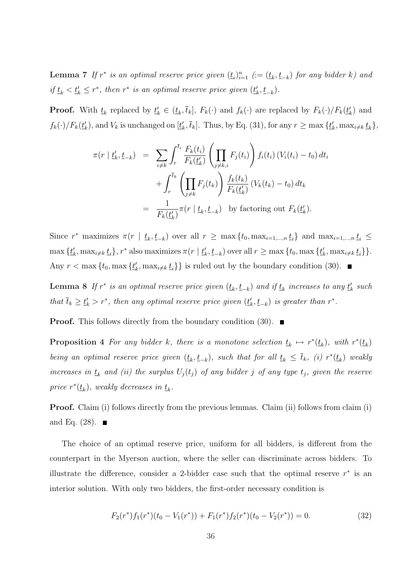**Lemma 7** If  $r^*$  is an optimal reserve price given  $(\underline{t}_i)_{i=1}^n$  ( $:= (\underline{t}_k, \underline{t}_{-k})$  for any bidder k) and if  $\underline{t}_k < \underline{t}'_k \leq r^*$ , then  $r^*$  is an optimal reserve price given  $(\underline{t}'_k, \underline{t}_{-k})$ .

**Proof.** With  $\underline{t}_k$  replaced by  $\underline{t}'_k \in (\underline{t}_k, \overline{t}_k]$ ,  $F_k(\cdot)$  and  $f_k(\cdot)$  are replaced by  $F_k(\cdot)/F_k(\underline{t}'_k)$  and  $f_k(\cdot)/F_k(\underline{t}'_k)$ , and  $V_k$  is unchanged on  $[\underline{t}'_k, \overline{t}_k]$ . Thus, by Eq. (31), for any  $r \ge \max{\{\underline{t}'_k, \max_{i \ne k} \underline{t}_k\}}$ ,

$$
\pi(r \mid \underline{t}'_k, \underline{t}_{-k}) = \sum_{i \neq k} \int_r^{\overline{t}_i} \frac{F_k(t_i)}{F_k(\underline{t}'_k)} \left( \prod_{j \neq k,i} F_j(t_i) \right) f_i(t_i) \left( V_i(t_i) - t_0 \right) dt_i
$$
  
+ 
$$
\int_r^{\overline{t}_k} \left( \prod_{j \neq k} F_j(t_k) \right) \frac{f_k(t_k)}{F_k(\underline{t}'_k)} \left( V_k(t_k) - t_0 \right) dt_k
$$
  
= 
$$
\frac{1}{F_k(\underline{t}'_k)} \pi(r \mid \underline{t}_k, \underline{t}_{-k}) \text{ by factoring out } F_k(\underline{t}'_k).
$$

Since  $r^*$  maximizes  $\pi(r \mid t_k, t_{-k})$  over all  $r \geq \max\{t_0, \max_{i=1,\dots,n} t_i\}$  and  $\max_{i=1,\dots,n} t_i \leq$  $\max \{t'_{k}, \max_{i \neq k} t_{i}\}, r^{*}$  also maximizes  $\pi(r \mid t'_{k}, t_{-k})$  over all  $r \geq \max \{t_{0}, \max \{t'_{k}, \max_{i \neq k} t_{i}\}\}.$ Any  $r < \max\{t_0, \max\{\underline{t'_k}, \max_{i \neq k} \underline{t_i}\}\}\$ is ruled out by the boundary condition (30).

**Lemma 8** If  $r^*$  is an optimal reserve price given  $(\underline{t}_k, \underline{t}_{-k})$  and if  $\underline{t}_k$  increases to any  $\underline{t}'_k$  such that  $\bar{t}_k \geq t'_k > r^*$ , then any optimal reserve price given  $(t'_k, t_{-k})$  is greater than  $r^*$ .

**Proof.** This follows directly from the boundary condition (30).  $\blacksquare$ 

**Proposition 4** For any bidder k, there is a monotone selection  $\underline{t}_k \mapsto r^*(\underline{t}_k)$ , with  $r^*(\underline{t}_k)$ being an optimal reserve price given  $(t_k, t_{-k})$ , such that for all  $t_k \leq \overline{t}_k$ , (i)  $r^*(t_k)$  weakly increases in  $\underline{t}_k$  and (ii) the surplus  $U_j(t_j)$  of any bidder j of any type  $t_j$ , given the reserve price  $r^*(\underline{t}_k)$ , weakly decreases in  $\underline{t}_k$ .

Proof. Claim (i) follows directly from the previous lemmas. Claim (ii) follows from claim (i) and Eq.  $(28)$ .

The choice of an optimal reserve price, uniform for all bidders, is different from the counterpart in the Myerson auction, where the seller can discriminate across bidders. To illustrate the difference, consider a 2-bidder case such that the optimal reserve  $r^*$  is an interior solution. With only two bidders, the first-order necessary condition is

$$
F_2(r^*)f_1(r^*)(t_0 - V_1(r^*)) + F_1(r^*)f_2(r^*)(t_0 - V_2(r^*)) = 0.
$$
\n(32)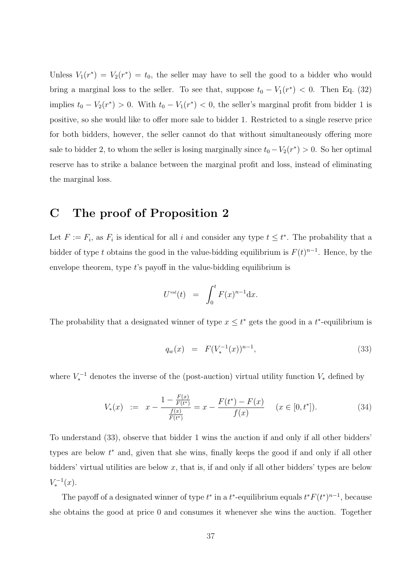Unless  $V_1(r^*) = V_2(r^*) = t_0$ , the seller may have to sell the good to a bidder who would bring a marginal loss to the seller. To see that, suppose  $t_0 - V_1(r^*) < 0$ . Then Eq. (32) implies  $t_0 - V_2(r^*) > 0$ . With  $t_0 - V_1(r^*) < 0$ , the seller's marginal profit from bidder 1 is positive, so she would like to offer more sale to bidder 1. Restricted to a single reserve price for both bidders, however, the seller cannot do that without simultaneously offering more sale to bidder 2, to whom the seller is losing marginally since  $t_0 - V_2(r^*) > 0$ . So her optimal reserve has to strike a balance between the marginal profit and loss, instead of eliminating the marginal loss.

## C The proof of Proposition 2

Let  $F := F_i$ , as  $F_i$  is identical for all i and consider any type  $t \leq t^*$ . The probability that a bidder of type t obtains the good in the value-bidding equilibrium is  $F(t)^{n-1}$ . Hence, by the envelope theorem, type  $t$ 's payoff in the value-bidding equilibrium is

$$
U^{\text{val}}(t) = \int_0^t F(x)^{n-1} \mathrm{d}x.
$$

The probability that a designated winner of type  $x \leq t^*$  gets the good in a  $t^*$ -equilibrium is

$$
q_w(x) = F(V_*^{-1}(x))^{n-1}, \t\t(33)
$$

where  $V_*^{-1}$  denotes the inverse of the (post-auction) virtual utility function  $V_*$  defined by

$$
V_*(x) := x - \frac{1 - \frac{F(x)}{F(t^*)}}{\frac{f(x)}{F(t^*)}} = x - \frac{F(t^*) - F(x)}{f(x)} \quad (x \in [0, t^*]).
$$
\n(34)

To understand (33), observe that bidder 1 wins the auction if and only if all other bidders' types are below  $t^*$  and, given that she wins, finally keeps the good if and only if all other bidders' virtual utilities are below  $x$ , that is, if and only if all other bidders' types are below  $V_*^{-1}(x)$ .

The payoff of a designated winner of type  $t^*$  in a  $t^*$ -equilibrium equals  $t^*F(t^*)^{n-1}$ , because she obtains the good at price 0 and consumes it whenever she wins the auction. Together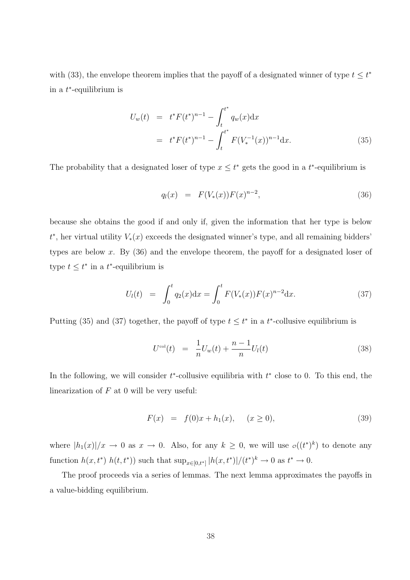with (33), the envelope theorem implies that the payoff of a designated winner of type  $t \leq t^*$ in a  $t^*$ -equilibrium is

$$
U_w(t) = t^* F(t^*)^{n-1} - \int_t^{t^*} q_w(x) dx
$$
  
=  $t^* F(t^*)^{n-1} - \int_t^{t^*} F(V_*^{-1}(x))^{n-1} dx.$  (35)

The probability that a designated loser of type  $x \leq t^*$  gets the good in a  $t^*$ -equilibrium is

$$
q_l(x) = F(V_*(x))F(x)^{n-2}, \t\t(36)
$$

because she obtains the good if and only if, given the information that her type is below  $t^*$ , her virtual utility  $V_*(x)$  exceeds the designated winner's type, and all remaining bidders' types are below x. By  $(36)$  and the envelope theorem, the payoff for a designated loser of type  $t \leq t^*$  in a  $t^*$ -equilibrium is

$$
U_l(t) = \int_0^t q_2(x) dx = \int_0^t F(V_*(x)) F(x)^{n-2} dx.
$$
 (37)

Putting (35) and (37) together, the payoff of type  $t \leq t^*$  in a  $t^*$ -collusive equilibrium is

$$
U^{\text{col}}(t) = \frac{1}{n}U_w(t) + \frac{n-1}{n}U_l(t)
$$
\n(38)

In the following, we will consider  $t^*$ -collusive equilibria with  $t^*$  close to 0. To this end, the linearization of  $F$  at 0 will be very useful:

$$
F(x) = f(0)x + h_1(x), \quad (x \ge 0), \tag{39}
$$

where  $|h_1(x)|/x \to 0$  as  $x \to 0$ . Also, for any  $k \geq 0$ , we will use  $\sigma((t^*)^k)$  to denote any function  $h(x, t^*)$   $h(t, t^*)$  such that  $\sup_{x \in [0,t^*]} |h(x, t^*)|/(t^*)^k \to 0$  as  $t^* \to 0$ .

The proof proceeds via a series of lemmas. The next lemma approximates the payoffs in a value-bidding equilibrium.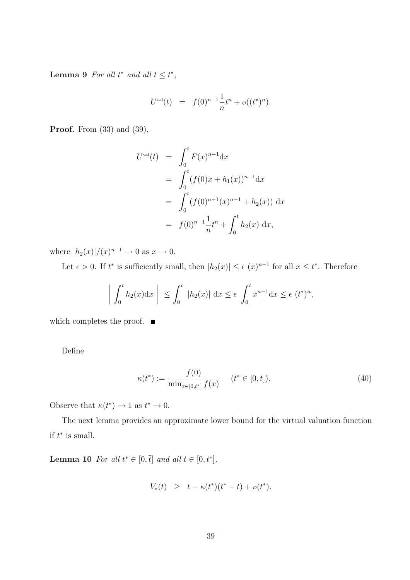Lemma 9 For all  $t^*$  and all  $t \leq t^*$ ,

$$
U^{val}(t) = f(0)^{n-1} \frac{1}{n} t^n + o((t^*)^n).
$$

**Proof.** From  $(33)$  and  $(39)$ ,

$$
U^{\text{val}}(t) = \int_0^t F(x)^{n-1} dx
$$
  
= 
$$
\int_0^t (f(0)x + h_1(x))^{n-1} dx
$$
  
= 
$$
\int_0^t (f(0)^{n-1}(x)^{n-1} + h_2(x)) dx
$$
  
= 
$$
f(0)^{n-1} \frac{1}{n} t^n + \int_0^t h_2(x) dx,
$$

where  $|h_2(x)|/(x)^{n-1} \to 0$  as  $x \to 0$ .

Let  $\epsilon > 0$ . If  $t^*$  is sufficiently small, then  $|h_2(x)| \leq \epsilon$   $(x)^{n-1}$  for all  $x \leq t^*$ . Therefore

$$
\left| \int_0^t h_2(x) dx \right| \leq \int_0^t |h_2(x)| dx \leq \epsilon \int_0^t x^{n-1} dx \leq \epsilon (t^*)^n,
$$

which completes the proof.  $\blacksquare$ 

Define

$$
\kappa(t^*) := \frac{f(0)}{\min_{x \in [0, t^*]} f(x)} \quad (t^* \in [0, \bar{t}]).
$$
\n(40)

Observe that  $\kappa(t^*) \to 1$  as  $t^* \to 0$ .

The next lemma provides an approximate lower bound for the virtual valuation function if  $t^*$  is small.

**Lemma 10** For all  $t^* \in [0, \bar{t}]$  and all  $t \in [0, t^*]$ ,

$$
V_*(t) \geq t - \kappa(t^*)(t^* - t) + o(t^*).
$$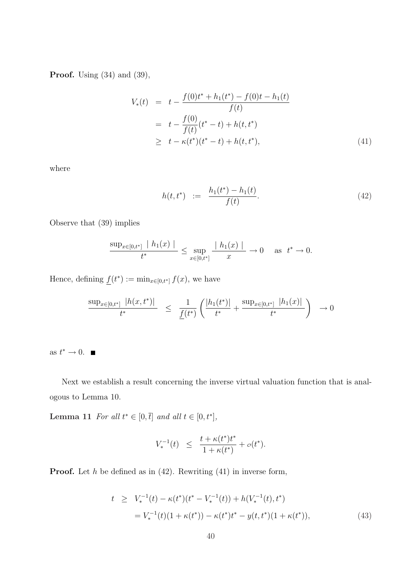**Proof.** Using  $(34)$  and  $(39)$ ,

$$
V_*(t) = t - \frac{f(0)t^* + h_1(t^*) - f(0)t - h_1(t)}{f(t)}
$$
  
=  $t - \frac{f(0)}{f(t)}(t^* - t) + h(t, t^*)$   
 $\geq t - \kappa(t^*)(t^* - t) + h(t, t^*),$  (41)

where

$$
h(t, t^*) \quad := \quad \frac{h_1(t^*) - h_1(t)}{f(t)}.
$$
\n(42)

Observe that (39) implies

$$
\frac{\sup_{x\in[0,t^*]}|h_1(x)|}{t^*} \le \sup_{x\in[0,t^*]} \frac{|h_1(x)|}{x} \to 0 \quad \text{as} \ \ t^* \to 0.
$$

Hence, defining  $f(t^*) := \min_{x \in [0,t^*]} f(x)$ , we have

$$
\frac{\sup_{x\in[0,t^*]}|h(x,t^*)|}{t^*} \leq \frac{1}{\underline{f}(t^*)}\left(\frac{|h_1(t^*)|}{t^*} + \frac{\sup_{x\in[0,t^*]}|h_1(x)|}{t^*}\right) \to 0
$$

as  $t^* \to 0$ .

Next we establish a result concerning the inverse virtual valuation function that is analogous to Lemma 10.

**Lemma 11** For all  $t^* \in [0, \bar{t}]$  and all  $t \in [0, t^*]$ ,

$$
V_*^{-1}(t) \ \ \le \ \ \frac{t+\kappa(t^*)t^*}{1+\kappa(t^*)} + o(t^*).
$$

**Proof.** Let  $h$  be defined as in (42). Rewriting (41) in inverse form,

$$
t \ge V_*^{-1}(t) - \kappa(t^*)(t^* - V_*^{-1}(t)) + h(V_*^{-1}(t), t^*)
$$
  
=  $V_*^{-1}(t)(1 + \kappa(t^*)) - \kappa(t^*)t^* - y(t, t^*)(1 + \kappa(t^*)),$  (43)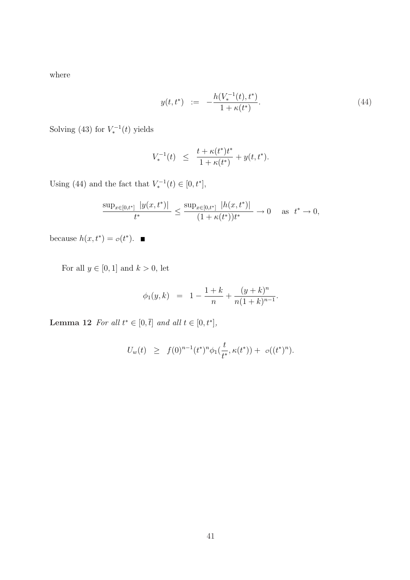where

$$
y(t, t^*) \quad := \quad -\frac{h(V_*^{-1}(t), t^*)}{1 + \kappa(t^*)}.\tag{44}
$$

Solving (43) for  $V_*^{-1}(t)$  yields

$$
V_*^{-1}(t) \ \ \le \ \ \frac{t+\kappa(t^*)t^*}{1+\kappa(t^*)} + y(t,t^*).
$$

Using (44) and the fact that  $V_*^{-1}(t) \in [0, t^*]$ ,

$$
\frac{\sup_{x\in[0,t^*]}|y(x,t^*)|}{t^*} \le \frac{\sup_{x\in[0,t^*]}|h(x,t^*)|}{(1+\kappa(t^*))t^*} \to 0 \quad \text{as } t^* \to 0,
$$

because  $h(x, t^*) = o(t^*)$ .

For all  $y\in[0,1]$  and  $k>0,$  let

$$
\phi_1(y,k) \;\; = \;\; 1 - \frac{1+k}{n} + \frac{(y+k)^n}{n(1+k)^{n-1}}.
$$

Lemma 12 For all  $t^* \in [0, \bar{t}]$  and all  $t \in [0, t^*]$ ,

$$
U_w(t) \geq f(0)^{n-1}(t^*)^n \phi_1(\frac{t}{t^*}, \kappa(t^*)) + o((t^*)^n).
$$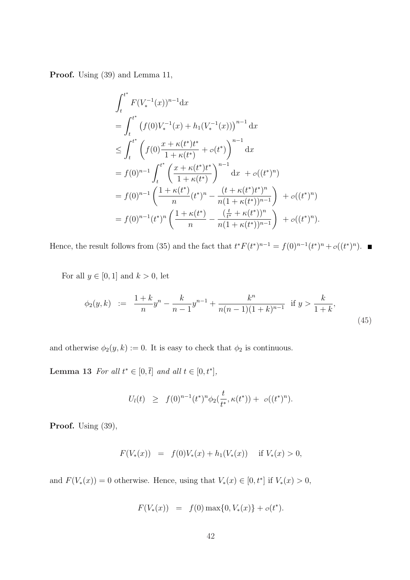Proof. Using  $(39)$  and Lemma 11,

$$
\int_{t}^{t^{*}} F(V_{*}^{-1}(x))^{n-1} dx
$$
\n
$$
= \int_{t}^{t^{*}} \left( f(0)V_{*}^{-1}(x) + h_{1}(V_{*}^{-1}(x)) \right)^{n-1} dx
$$
\n
$$
\leq \int_{t}^{t^{*}} \left( f(0) \frac{x + \kappa(t^{*})t^{*}}{1 + \kappa(t^{*})} + o(t^{*}) \right)^{n-1} dx
$$
\n
$$
= f(0)^{n-1} \int_{t}^{t^{*}} \left( \frac{x + \kappa(t^{*})t^{*}}{1 + \kappa(t^{*})} \right)^{n-1} dx + o((t^{*})^{n})
$$
\n
$$
= f(0)^{n-1} \left( \frac{1 + \kappa(t^{*})}{n} \right)^{n} - \frac{(t + \kappa(t^{*})t^{*})^{n}}{n(1 + \kappa(t^{*}))^{n-1}} \right) + o((t^{*})^{n})
$$
\n
$$
= f(0)^{n-1}(t^{*})^{n} \left( \frac{1 + \kappa(t^{*})}{n} - \frac{\left( \frac{t}{t^{*}} + \kappa(t^{*}) \right)^{n}}{n(1 + \kappa(t^{*}))^{n-1}} \right) + o((t^{*})^{n}).
$$

Hence, the result follows from (35) and the fact that  $t^*F(t^*)^{n-1} = f(0)^{n-1}(t^*)^n + o((t^*)^n)$ .

For all  $y \in [0, 1]$  and  $k > 0$ , let

$$
\phi_2(y,k) := \frac{1+k}{n}y^n - \frac{k}{n-1}y^{n-1} + \frac{k^n}{n(n-1)(1+k)^{n-1}} \text{ if } y > \frac{k}{1+k},\tag{45}
$$

and otherwise  $\phi_2(y, k) := 0$ . It is easy to check that  $\phi_2$  is continuous.

**Lemma 13** For all  $t^* \in [0, \bar{t}]$  and all  $t \in [0, t^*]$ ,

$$
U_l(t) \geq f(0)^{n-1}(t^*)^n \phi_2(\frac{t}{t^*}, \kappa(t^*)) + o((t^*)^n).
$$

Proof. Using  $(39)$ ,

$$
F(V_*(x)) = f(0)V_*(x) + h_1(V_*(x)) \quad \text{if } V_*(x) > 0,
$$

and  $F(V_*(x)) = 0$  otherwise. Hence, using that  $V_*(x) \in [0, t^*]$  if  $V_*(x) > 0$ ,

$$
F(V_*(x)) = f(0) \max\{0, V_*(x)\} + o(t^*).
$$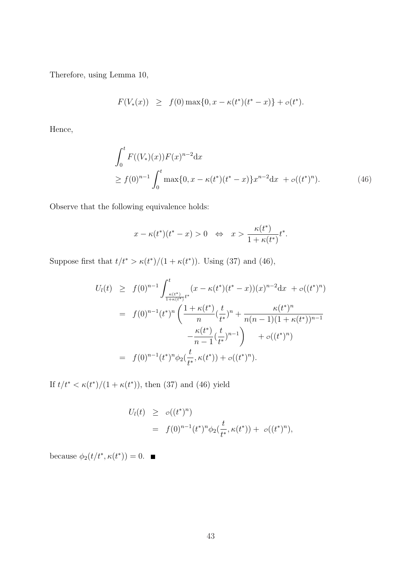Therefore, using Lemma 10,

$$
F(V_*(x)) \geq f(0) \max\{0, x - \kappa(t^*)(t^* - x)\} + o(t^*).
$$

Hence,

$$
\int_0^t F((V_*)(x))F(x)^{n-2}dx
$$
  
\n
$$
\geq f(0)^{n-1} \int_0^t \max\{0, x - \kappa(t^*)(t^*-x)\}x^{n-2}dx + o((t^*)^n).
$$
 (46)

Observe that the following equivalence holds:

$$
x - \kappa(t^*)(t^* - x) > 0 \quad \Leftrightarrow \quad x > \frac{\kappa(t^*)}{1 + \kappa(t^*)}t^*.
$$

Suppose first that  $t/t^* > \kappa(t^*)/(1 + \kappa(t^*))$ . Using (37) and (46),

$$
U_l(t) \geq f(0)^{n-1} \int_{\frac{\kappa(t^*)}{1+\kappa(t^*)}t^*}^t (x - \kappa(t^*)(t^*-x))(x)^{n-2} dx + o((t^*)^n)
$$
  

$$
= f(0)^{n-1}(t^*)^n \left( \frac{1 + \kappa(t^*)}{n} (\frac{t}{t^*})^n + \frac{\kappa(t^*)^n}{n(n-1)(1+\kappa(t^*))^{n-1}} - \frac{\kappa(t^*)}{n-1} (\frac{t}{t^*})^{n-1} \right) + o((t^*)^n)
$$
  

$$
= f(0)^{n-1}(t^*)^n \phi_2(\frac{t}{t^*}, \kappa(t^*)) + o((t^*)^n).
$$

If  $t/t^* < \kappa(t^*)/(1 + \kappa(t^*))$ , then (37) and (46) yield

$$
U_l(t) \geq o((t^*)^n)
$$
  
=  $f(0)^{n-1}(t^*)^n \phi_2(\frac{t}{t^*}, \kappa(t^*)) + o((t^*)^n),$ 

because  $\phi_2(t/t^*, \kappa(t^*)) = 0.$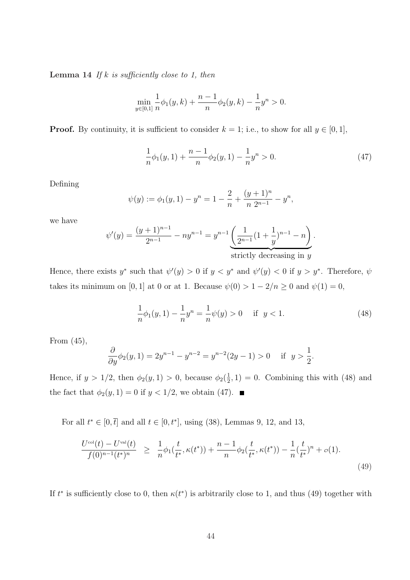**Lemma 14** If k is sufficiently close to 1, then

$$
\min_{y \in [0,1]} \frac{1}{n} \phi_1(y,k) + \frac{n-1}{n} \phi_2(y,k) - \frac{1}{n} y^n > 0.
$$

**Proof.** By continuity, it is sufficient to consider  $k = 1$ ; i.e., to show for all  $y \in [0, 1]$ ,

$$
\frac{1}{n}\phi_1(y,1) + \frac{n-1}{n}\phi_2(y,1) - \frac{1}{n}y^n > 0.
$$
\n(47)

Defining

$$
\psi(y) := \phi_1(y, 1) - y^n = 1 - \frac{2}{n} + \frac{(y+1)^n}{n \ 2^{n-1}} - y^n,
$$

we have

$$
\psi'(y) = \frac{(y+1)^{n-1}}{2^{n-1}} - ny^{n-1} = y^{n-1} \underbrace{\left(\frac{1}{2^{n-1}}(1+\frac{1}{y})^{n-1} - n\right)}_{\text{strictly decreasing in } y}.
$$

Hence, there exists  $y^*$  such that  $\psi'(y) > 0$  if  $y < y^*$  and  $\psi'(y) < 0$  if  $y > y^*$ . Therefore,  $\psi$ takes its minimum on [0, 1] at 0 or at 1. Because  $\psi(0) > 1 - 2/n \ge 0$  and  $\psi(1) = 0$ ,

$$
\frac{1}{n}\phi_1(y,1) - \frac{1}{n}y^n = \frac{1}{n}\psi(y) > 0 \quad \text{if } y < 1.
$$
\n(48)

From (45),

$$
\frac{\partial}{\partial y}\phi_2(y,1) = 2y^{n-1} - y^{n-2} = y^{n-2}(2y-1) > 0 \quad \text{if } y > \frac{1}{2}.
$$

Hence, if  $y > 1/2$ , then  $\phi_2(y, 1) > 0$ , because  $\phi_2(\frac{1}{2})$  $(\frac{1}{2}, 1) = 0$ . Combining this with (48) and the fact that  $\phi_2(y, 1) = 0$  if  $y < 1/2$ , we obtain (47).

For all  $t^* \in [0, \bar{t}]$  and all  $t \in [0, t^*]$ , using (38), Lemmas 9, 12, and 13,

$$
\frac{U^{\text{col}}(t) - U^{\text{val}}(t)}{f(0)^{n-1}(t^*)^n} \geq \frac{1}{n} \phi_1(\frac{t}{t^*}, \kappa(t^*)) + \frac{n-1}{n} \phi_2(\frac{t}{t^*}, \kappa(t^*)) - \frac{1}{n} (\frac{t}{t^*})^n + o(1). \tag{49}
$$

If  $t^*$  is sufficiently close to 0, then  $\kappa(t^*)$  is arbitrarily close to 1, and thus (49) together with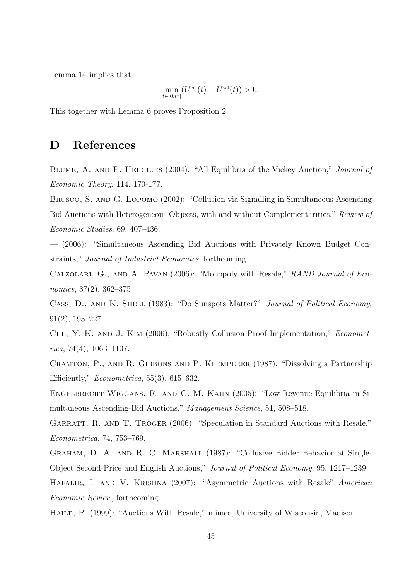Lemma 14 implies that

$$
\min_{t\in[0,t^*]}(U^{\text{col}}(t)-U^{\text{val}}(t))>0.
$$

This together with Lemma 6 proves Proposition 2.

## D References

BLUME, A. AND P. HEIDHUES (2004): "All Equilibria of the Vickey Auction," *Journal of* Economic Theory, 114, 170-177.

Brusco, S. and G. Lopomo (2002): "Collusion via Signalling in Simultaneous Ascending Bid Auctions with Heterogeneous Objects, with and without Complementarities," Review of Economic Studies, 69, 407–436.

— (2006): "Simultaneous Ascending Bid Auctions with Privately Known Budget Constraints," Journal of Industrial Economics, forthcoming.

Calzolari, G., and A. Pavan (2006): "Monopoly with Resale," RAND Journal of Economics, 37(2), 362–375.

CASS, D., AND K. SHELL (1983): "Do Sunspots Matter?" Journal of Political Economy, 91(2), 193–227.

Che, Y.-K. and J. Kim (2006), "Robustly Collusion-Proof Implementation," Econometrica, 74(4), 1063–1107.

Cramton, P., and R. Gibbons and P. Klemperer (1987): "Dissolving a Partnership Efficiently,"  $Econometrica$ , 55(3), 615–632.

Engelbrecht-Wiggans, R. and C. M. Kahn (2005): "Low-Revenue Equilibria in Simultaneous Ascending-Bid Auctions," Management Science, 51, 508–518.

GARRATT, R. AND T. TRÖGER (2006): "Speculation in Standard Auctions with Resale," Econometrica, 74, 753–769.

Graham, D. A. and R. C. Marshall (1987): "Collusive Bidder Behavior at Single-Object Second-Price and English Auctions," Journal of Political Economy, 95, 1217–1239.

HAFALIR, I. AND V. KRISHNA (2007): "Asymmetric Auctions with Resale" American Economic Review, forthcoming.

Haile, P. (1999): "Auctions With Resale," mimeo, University of Wisconsin, Madison.